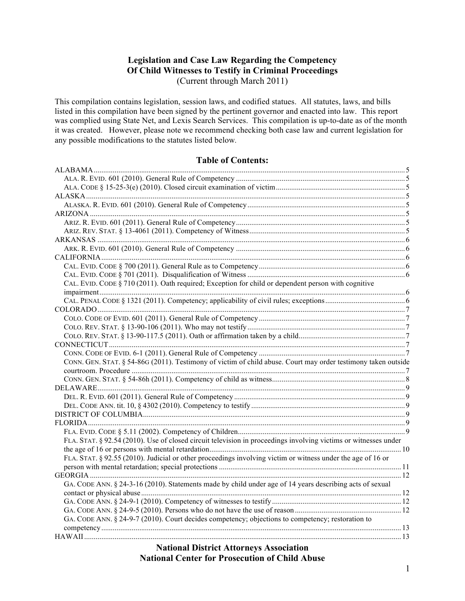#### **Legislation and Case Law Regarding the Competency Of Child Witnesses to Testify in Criminal Proceedings** (Current through March 2011)

This compilation contains legislation, session laws, and codified statues. All statutes, laws, and bills listed in this compilation have been signed by the pertinent governor and enacted into law. This report was complied using State Net, and Lexis Search Services. This compilation is up-to-date as of the month it was created. However, please note we recommend checking both case law and current legislation for any possible modifications to the statutes listed below*.*

#### **Table of Contents:**

| CAL. EVID. CODE $\S$ 710 (2011). Oath required; Exception for child or dependent person with cognitive          |  |
|-----------------------------------------------------------------------------------------------------------------|--|
|                                                                                                                 |  |
|                                                                                                                 |  |
|                                                                                                                 |  |
|                                                                                                                 |  |
|                                                                                                                 |  |
|                                                                                                                 |  |
|                                                                                                                 |  |
|                                                                                                                 |  |
| CONN. GEN. STAT. § 54-86G (2011). Testimony of victim of child abuse. Court may order testimony taken outside   |  |
|                                                                                                                 |  |
|                                                                                                                 |  |
|                                                                                                                 |  |
|                                                                                                                 |  |
|                                                                                                                 |  |
|                                                                                                                 |  |
|                                                                                                                 |  |
|                                                                                                                 |  |
| FLA. STAT. § 92.54 (2010). Use of closed circuit television in proceedings involving victims or witnesses under |  |
|                                                                                                                 |  |
| FLA. STAT. § 92.55 (2010). Judicial or other proceedings involving victim or witness under the age of 16 or     |  |
|                                                                                                                 |  |
|                                                                                                                 |  |
| GA. CODE ANN. § 24-3-16 (2010). Statements made by child under age of 14 years describing acts of sexual        |  |
|                                                                                                                 |  |
|                                                                                                                 |  |
| GA. CODE ANN. § 24-9-7 (2010). Court decides competency; objections to competency; restoration to               |  |
|                                                                                                                 |  |
|                                                                                                                 |  |
|                                                                                                                 |  |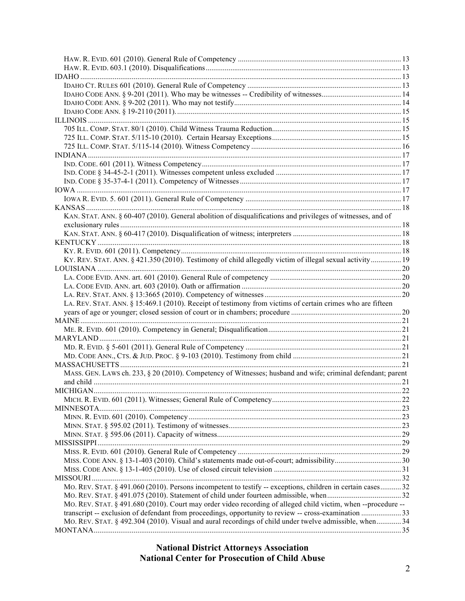| KAN. STAT. ANN. § 60-407 (2010). General abolition of disqualifications and privileges of witnesses, and of   |  |
|---------------------------------------------------------------------------------------------------------------|--|
|                                                                                                               |  |
|                                                                                                               |  |
|                                                                                                               |  |
|                                                                                                               |  |
| KY. REV. STAT. ANN. § 421.350 (2010). Testimony of child allegedly victim of illegal sexual activity 19       |  |
|                                                                                                               |  |
|                                                                                                               |  |
|                                                                                                               |  |
|                                                                                                               |  |
| LA. REV. STAT. ANN. § 15:469.1 (2010). Receipt of testimony from victims of certain crimes who are fifteen    |  |
|                                                                                                               |  |
|                                                                                                               |  |
|                                                                                                               |  |
|                                                                                                               |  |
|                                                                                                               |  |
|                                                                                                               |  |
| MASS. GEN. LAWS ch. 233, § 20 (2010). Competency of Witnesses; husband and wife; criminal defendant; parent   |  |
|                                                                                                               |  |
| MICHIGAN                                                                                                      |  |
|                                                                                                               |  |
|                                                                                                               |  |
|                                                                                                               |  |
|                                                                                                               |  |
|                                                                                                               |  |
|                                                                                                               |  |
|                                                                                                               |  |
|                                                                                                               |  |
|                                                                                                               |  |
|                                                                                                               |  |
| MO. REV. STAT. § 491.060 (2010). Persons incompetent to testify -- exceptions, children in certain cases 32   |  |
|                                                                                                               |  |
| Mo. REV. STAT. § 491.680 (2010). Court may order video recording of alleged child victim, when --procedure -- |  |
| transcript -- exclusion of defendant from proceedings, opportunity to review -- cross-examination 33          |  |
| Mo. REV. STAT. § 492.304 (2010). Visual and aural recordings of child under twelve admissible, when34         |  |
|                                                                                                               |  |
|                                                                                                               |  |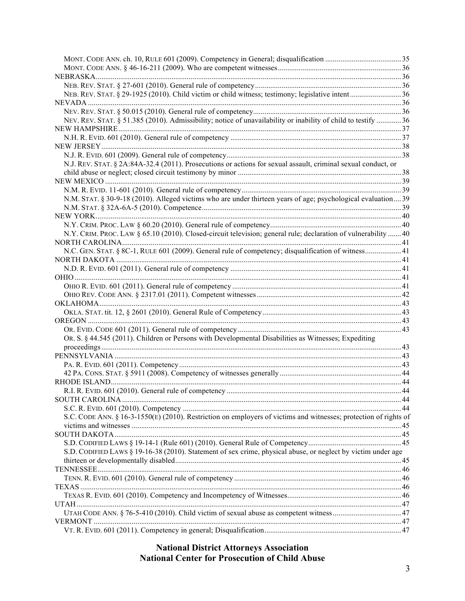| NEV. REV. STAT. § 51.385 (2010). Admissibility; notice of unavailability or inability of child to testify  36    |  |
|------------------------------------------------------------------------------------------------------------------|--|
|                                                                                                                  |  |
|                                                                                                                  |  |
|                                                                                                                  |  |
|                                                                                                                  |  |
| N.J. REV. STAT. § 2A:84A-32.4 (2011). Prosecutions or actions for sexual assault, criminal sexual conduct, or    |  |
|                                                                                                                  |  |
|                                                                                                                  |  |
|                                                                                                                  |  |
| N.M. STAT. § 30-9-18 (2010). Alleged victims who are under thirteen years of age; psychological evaluation 39    |  |
|                                                                                                                  |  |
|                                                                                                                  |  |
|                                                                                                                  |  |
| N.Y. CRIM. PROC. LAW § 65.10 (2010). Closed-circuit television; general rule; declaration of vulnerability  40   |  |
| N.C. GEN. STAT. § 8C-1, RULE 601 (2009). General rule of competency; disqualification of witness 41              |  |
|                                                                                                                  |  |
|                                                                                                                  |  |
|                                                                                                                  |  |
|                                                                                                                  |  |
|                                                                                                                  |  |
|                                                                                                                  |  |
|                                                                                                                  |  |
|                                                                                                                  |  |
|                                                                                                                  |  |
| OR. S. § 44.545 (2011). Children or Persons with Developmental Disabilities as Witnesses; Expediting             |  |
|                                                                                                                  |  |
|                                                                                                                  |  |
|                                                                                                                  |  |
|                                                                                                                  |  |
|                                                                                                                  |  |
|                                                                                                                  |  |
|                                                                                                                  |  |
|                                                                                                                  |  |
| S.C. CODE ANN. § 16-3-1550(E) (2010). Restriction on employers of victims and witnesses; protection of rights of |  |
|                                                                                                                  |  |
|                                                                                                                  |  |
|                                                                                                                  |  |
| S.D. CODIFIED LAWS § 19-16-38 (2010). Statement of sex crime, physical abuse, or neglect by victim under age     |  |
|                                                                                                                  |  |
|                                                                                                                  |  |
|                                                                                                                  |  |
|                                                                                                                  |  |
|                                                                                                                  |  |
|                                                                                                                  |  |
|                                                                                                                  |  |
|                                                                                                                  |  |
|                                                                                                                  |  |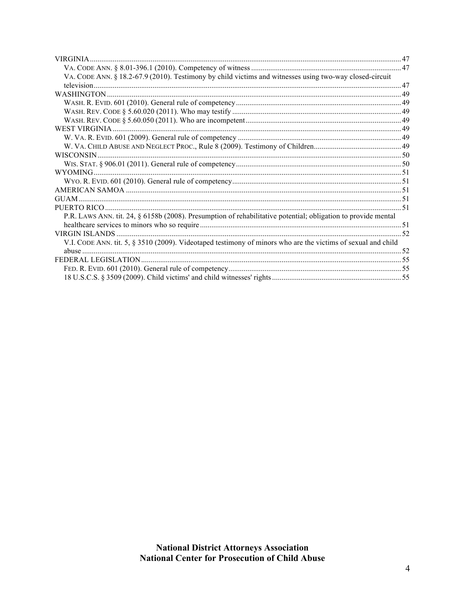| VIRGINIA.                                                                                                     |  |
|---------------------------------------------------------------------------------------------------------------|--|
|                                                                                                               |  |
| VA. CODE ANN. § 18.2-67.9 (2010). Testimony by child victims and witnesses using two-way closed-circuit       |  |
|                                                                                                               |  |
|                                                                                                               |  |
|                                                                                                               |  |
|                                                                                                               |  |
|                                                                                                               |  |
| WEST VIRGINIA                                                                                                 |  |
|                                                                                                               |  |
|                                                                                                               |  |
|                                                                                                               |  |
|                                                                                                               |  |
|                                                                                                               |  |
|                                                                                                               |  |
|                                                                                                               |  |
|                                                                                                               |  |
|                                                                                                               |  |
| P.R. LAWS ANN. tit. 24, § 6158b (2008). Presumption of rehabilitative potential; obligation to provide mental |  |
|                                                                                                               |  |
|                                                                                                               |  |
| V.I. CODE ANN. tit. 5, § 3510 (2009). Videotaped testimony of minors who are the victims of sexual and child  |  |
|                                                                                                               |  |
|                                                                                                               |  |
|                                                                                                               |  |
|                                                                                                               |  |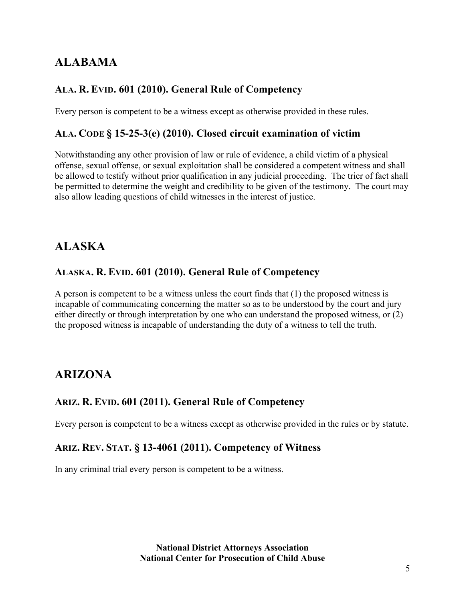### **ALABAMA**

#### **ALA. R. EVID. 601 (2010). General Rule of Competency**

Every person is competent to be a witness except as otherwise provided in these rules.

#### **ALA. CODE § 15-25-3(e) (2010). Closed circuit examination of victim**

Notwithstanding any other provision of law or rule of evidence, a child victim of a physical offense, sexual offense, or sexual exploitation shall be considered a competent witness and shall be allowed to testify without prior qualification in any judicial proceeding. The trier of fact shall be permitted to determine the weight and credibility to be given of the testimony. The court may also allow leading questions of child witnesses in the interest of justice.

### **ALASKA**

#### **ALASKA. R. EVID. 601 (2010). General Rule of Competency**

A person is competent to be a witness unless the court finds that (1) the proposed witness is incapable of communicating concerning the matter so as to be understood by the court and jury either directly or through interpretation by one who can understand the proposed witness, or (2) the proposed witness is incapable of understanding the duty of a witness to tell the truth.

### **ARIZONA**

#### **ARIZ. R. EVID. 601 (2011). General Rule of Competency**

Every person is competent to be a witness except as otherwise provided in the rules or by statute.

#### **ARIZ. REV. STAT. § 13-4061 (2011). Competency of Witness**

In any criminal trial every person is competent to be a witness.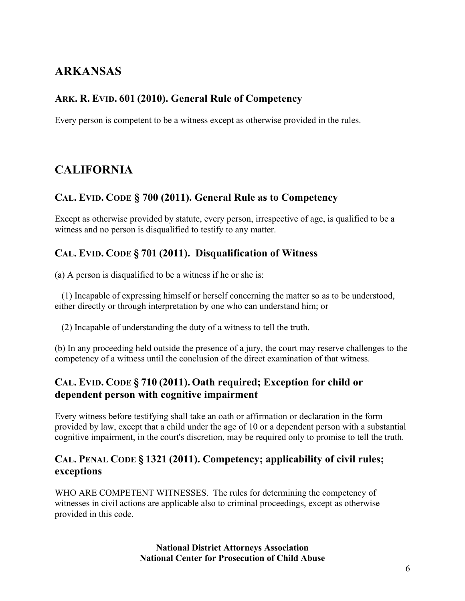# **ARKANSAS**

#### **ARK. R. EVID. 601 (2010). General Rule of Competency**

Every person is competent to be a witness except as otherwise provided in the rules.

# **CALIFORNIA**

#### **CAL. EVID. CODE § 700 (2011). General Rule as to Competency**

Except as otherwise provided by statute, every person, irrespective of age, is qualified to be a witness and no person is disqualified to testify to any matter.

#### **CAL. EVID. CODE § 701 (2011). Disqualification of Witness**

(a) A person is disqualified to be a witness if he or she is:

(1) Incapable of expressing himself or herself concerning the matter so as to be understood, either directly or through interpretation by one who can understand him; or

(2) Incapable of understanding the duty of a witness to tell the truth.

(b) In any proceeding held outside the presence of a jury, the court may reserve challenges to the competency of a witness until the conclusion of the direct examination of that witness.

#### **CAL. EVID. CODE § 710 (2011). Oath required; Exception for child or dependent person with cognitive impairment**

Every witness before testifying shall take an oath or affirmation or declaration in the form provided by law, except that a child under the age of 10 or a dependent person with a substantial cognitive impairment, in the court's discretion, may be required only to promise to tell the truth.

#### **CAL. PENAL CODE § 1321 (2011). Competency; applicability of civil rules; exceptions**

WHO ARE COMPETENT WITNESSES. The rules for determining the competency of witnesses in civil actions are applicable also to criminal proceedings, except as otherwise provided in this code.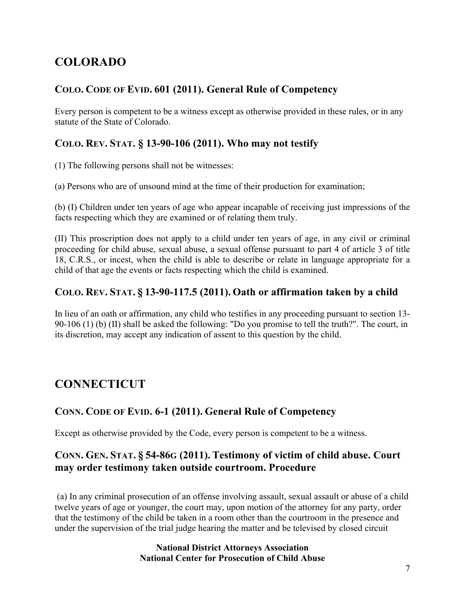# **COLORADO**

### **COLO. CODE OF EVID. 601 (2011). General Rule of Competency**

Every person is competent to be a witness except as otherwise provided in these rules, or in any statute of the State of Colorado.

### **COLO. REV. STAT. § 13-90-106 (2011). Who may not testify**

(1) The following persons shall not be witnesses:

(a) Persons who are of unsound mind at the time of their production for examination;

(b) (I) Children under ten years of age who appear incapable of receiving just impressions of the facts respecting which they are examined or of relating them truly.

(II) This proscription does not apply to a child under ten years of age, in any civil or criminal proceeding for child abuse, sexual abuse, a sexual offense pursuant to part 4 of article 3 of title 18, C.R.S., or incest, when the child is able to describe or relate in language appropriate for a child of that age the events or facts respecting which the child is examined.

#### **COLO. REV. STAT. § 13-90-117.5 (2011). Oath or affirmation taken by a child**

In lieu of an oath or affirmation, any child who testifies in any proceeding pursuant to section 13- 90-106 (1) (b) (II) shall be asked the following: "Do you promise to tell the truth?". The court, in its discretion, may accept any indication of assent to this question by the child.

# **CONNECTICUT**

### **CONN. CODE OF EVID. 6-1 (2011). General Rule of Competency**

Except as otherwise provided by the Code, every person is competent to be a witness.

#### **CONN. GEN. STAT. § 54-86G (2011). Testimony of victim of child abuse. Court may order testimony taken outside courtroom. Procedure**

 (a) In any criminal prosecution of an offense involving assault, sexual assault or abuse of a child twelve years of age or younger, the court may, upon motion of the attorney for any party, order that the testimony of the child be taken in a room other than the courtroom in the presence and under the supervision of the trial judge hearing the matter and be televised by closed circuit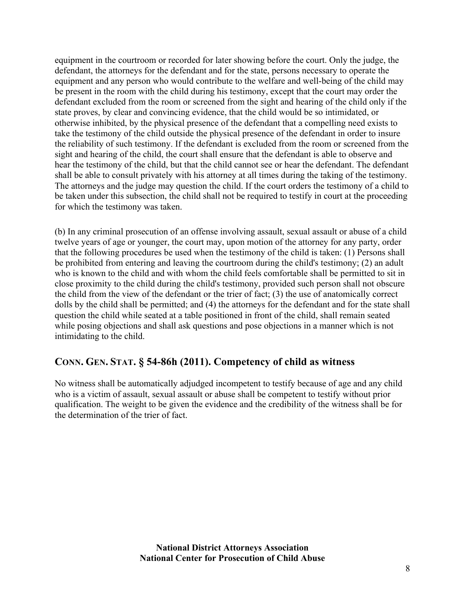equipment in the courtroom or recorded for later showing before the court. Only the judge, the defendant, the attorneys for the defendant and for the state, persons necessary to operate the equipment and any person who would contribute to the welfare and well-being of the child may be present in the room with the child during his testimony, except that the court may order the defendant excluded from the room or screened from the sight and hearing of the child only if the state proves, by clear and convincing evidence, that the child would be so intimidated, or otherwise inhibited, by the physical presence of the defendant that a compelling need exists to take the testimony of the child outside the physical presence of the defendant in order to insure the reliability of such testimony. If the defendant is excluded from the room or screened from the sight and hearing of the child, the court shall ensure that the defendant is able to observe and hear the testimony of the child, but that the child cannot see or hear the defendant. The defendant shall be able to consult privately with his attorney at all times during the taking of the testimony. The attorneys and the judge may question the child. If the court orders the testimony of a child to be taken under this subsection, the child shall not be required to testify in court at the proceeding for which the testimony was taken.

(b) In any criminal prosecution of an offense involving assault, sexual assault or abuse of a child twelve years of age or younger, the court may, upon motion of the attorney for any party, order that the following procedures be used when the testimony of the child is taken: (1) Persons shall be prohibited from entering and leaving the courtroom during the child's testimony; (2) an adult who is known to the child and with whom the child feels comfortable shall be permitted to sit in close proximity to the child during the child's testimony, provided such person shall not obscure the child from the view of the defendant or the trier of fact; (3) the use of anatomically correct dolls by the child shall be permitted; and (4) the attorneys for the defendant and for the state shall question the child while seated at a table positioned in front of the child, shall remain seated while posing objections and shall ask questions and pose objections in a manner which is not intimidating to the child.

#### **CONN. GEN. STAT. § 54-86h (2011). Competency of child as witness**

No witness shall be automatically adjudged incompetent to testify because of age and any child who is a victim of assault, sexual assault or abuse shall be competent to testify without prior qualification. The weight to be given the evidence and the credibility of the witness shall be for the determination of the trier of fact.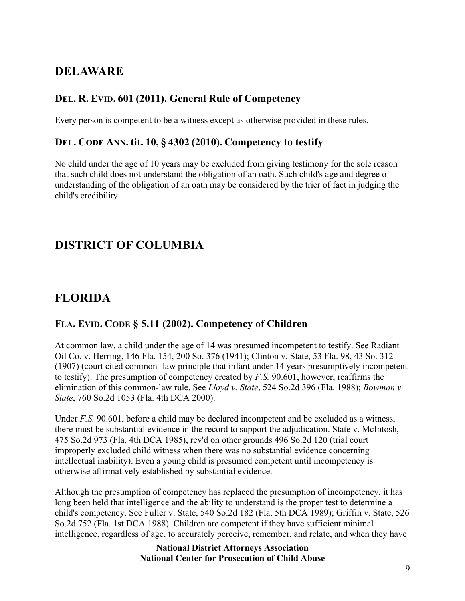# **DELAWARE**

### **DEL. R. EVID. 601 (2011). General Rule of Competency**

Every person is competent to be a witness except as otherwise provided in these rules.

### **DEL. CODE ANN. tit. 10, § 4302 (2010). Competency to testify**

No child under the age of 10 years may be excluded from giving testimony for the sole reason that such child does not understand the obligation of an oath. Such child's age and degree of understanding of the obligation of an oath may be considered by the trier of fact in judging the child's credibility.

# **DISTRICT OF COLUMBIA**

# **FLORIDA**

### **FLA. EVID. CODE § 5.11 (2002). Competency of Children**

At common law, a child under the age of 14 was presumed incompetent to testify. See Radiant Oil Co. v. Herring, 146 Fla. 154, 200 So. 376 (1941); Clinton v. State, 53 Fla. 98, 43 So. 312 (1907) (court cited common- law principle that infant under 14 years presumptively incompetent to testify). The presumption of competency created by *F.S.* 90.601, however, reaffirms the elimination of this common-law rule. See *Lloyd v. State*, 524 So.2d 396 (Fla. 1988); *Bowman v. State*, 760 So.2d 1053 (Fla. 4th DCA 2000).

Under *F.S.* 90.601, before a child may be declared incompetent and be excluded as a witness, there must be substantial evidence in the record to support the adjudication. State v. McIntosh, 475 So.2d 973 (Fla. 4th DCA 1985), rev'd on other grounds 496 So.2d 120 (trial court improperly excluded child witness when there was no substantial evidence concerning intellectual inability). Even a young child is presumed competent until incompetency is otherwise affirmatively established by substantial evidence.

Although the presumption of competency has replaced the presumption of incompetency, it has long been held that intelligence and the ability to understand is the proper test to determine a child's competency. See Fuller v. State, 540 So.2d 182 (Fla. 5th DCA 1989); Griffin v. State, 526 So.2d 752 (Fla. 1st DCA 1988). Children are competent if they have sufficient minimal intelligence, regardless of age, to accurately perceive, remember, and relate, and when they have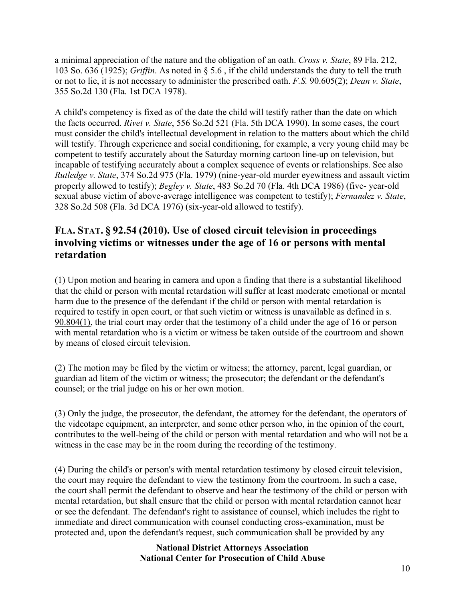a minimal appreciation of the nature and the obligation of an oath. *Cross v. State*, 89 Fla. 212, 103 So. 636 (1925); *Griffin*. As noted in § 5.6 , if the child understands the duty to tell the truth or not to lie, it is not necessary to administer the prescribed oath. *F.S.* 90.605(2); *Dean v. State*, 355 So.2d 130 (Fla. 1st DCA 1978).

A child's competency is fixed as of the date the child will testify rather than the date on which the facts occurred. *Rivet v. State*, 556 So.2d 521 (Fla. 5th DCA 1990). In some cases, the court must consider the child's intellectual development in relation to the matters about which the child will testify. Through experience and social conditioning, for example, a very young child may be competent to testify accurately about the Saturday morning cartoon line-up on television, but incapable of testifying accurately about a complex sequence of events or relationships. See also *Rutledge v. State*, 374 So.2d 975 (Fla. 1979) (nine-year-old murder eyewitness and assault victim properly allowed to testify); *Begley v. State*, 483 So.2d 70 (Fla. 4th DCA 1986) (five- year-old sexual abuse victim of above-average intelligence was competent to testify); *Fernandez v. State*, 328 So.2d 508 (Fla. 3d DCA 1976) (six-year-old allowed to testify).

#### **FLA. STAT. § 92.54 (2010). Use of closed circuit television in proceedings involving victims or witnesses under the age of 16 or persons with mental retardation**

(1) Upon motion and hearing in camera and upon a finding that there is a substantial likelihood that the child or person with mental retardation will suffer at least moderate emotional or mental harm due to the presence of the defendant if the child or person with mental retardation is required to testify in open court, or that such victim or witness is unavailable as defined in s. 90.804(1), the trial court may order that the testimony of a child under the age of 16 or person with mental retardation who is a victim or witness be taken outside of the courtroom and shown by means of closed circuit television.

(2) The motion may be filed by the victim or witness; the attorney, parent, legal guardian, or guardian ad litem of the victim or witness; the prosecutor; the defendant or the defendant's counsel; or the trial judge on his or her own motion.

(3) Only the judge, the prosecutor, the defendant, the attorney for the defendant, the operators of the videotape equipment, an interpreter, and some other person who, in the opinion of the court, contributes to the well-being of the child or person with mental retardation and who will not be a witness in the case may be in the room during the recording of the testimony.

(4) During the child's or person's with mental retardation testimony by closed circuit television, the court may require the defendant to view the testimony from the courtroom. In such a case, the court shall permit the defendant to observe and hear the testimony of the child or person with mental retardation, but shall ensure that the child or person with mental retardation cannot hear or see the defendant. The defendant's right to assistance of counsel, which includes the right to immediate and direct communication with counsel conducting cross-examination, must be protected and, upon the defendant's request, such communication shall be provided by any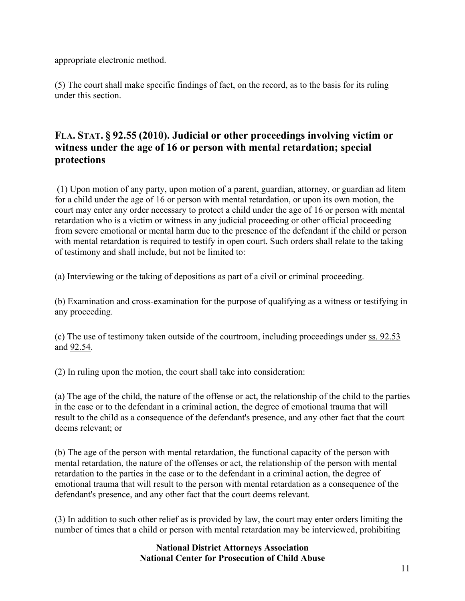appropriate electronic method.

(5) The court shall make specific findings of fact, on the record, as to the basis for its ruling under this section.

#### **FLA. STAT. § 92.55 (2010). Judicial or other proceedings involving victim or witness under the age of 16 or person with mental retardation; special protections**

 (1) Upon motion of any party, upon motion of a parent, guardian, attorney, or guardian ad litem for a child under the age of 16 or person with mental retardation, or upon its own motion, the court may enter any order necessary to protect a child under the age of 16 or person with mental retardation who is a victim or witness in any judicial proceeding or other official proceeding from severe emotional or mental harm due to the presence of the defendant if the child or person with mental retardation is required to testify in open court. Such orders shall relate to the taking of testimony and shall include, but not be limited to:

(a) Interviewing or the taking of depositions as part of a civil or criminal proceeding.

(b) Examination and cross-examination for the purpose of qualifying as a witness or testifying in any proceeding.

(c) The use of testimony taken outside of the courtroom, including proceedings under ss. 92.53 and 92.54.

(2) In ruling upon the motion, the court shall take into consideration:

(a) The age of the child, the nature of the offense or act, the relationship of the child to the parties in the case or to the defendant in a criminal action, the degree of emotional trauma that will result to the child as a consequence of the defendant's presence, and any other fact that the court deems relevant; or

(b) The age of the person with mental retardation, the functional capacity of the person with mental retardation, the nature of the offenses or act, the relationship of the person with mental retardation to the parties in the case or to the defendant in a criminal action, the degree of emotional trauma that will result to the person with mental retardation as a consequence of the defendant's presence, and any other fact that the court deems relevant.

(3) In addition to such other relief as is provided by law, the court may enter orders limiting the number of times that a child or person with mental retardation may be interviewed, prohibiting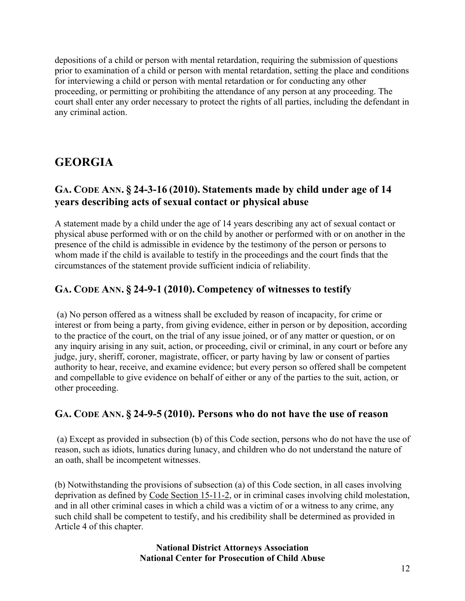depositions of a child or person with mental retardation, requiring the submission of questions prior to examination of a child or person with mental retardation, setting the place and conditions for interviewing a child or person with mental retardation or for conducting any other proceeding, or permitting or prohibiting the attendance of any person at any proceeding. The court shall enter any order necessary to protect the rights of all parties, including the defendant in any criminal action.

# **GEORGIA**

### **GA. CODE ANN. § 24-3-16 (2010). Statements made by child under age of 14 years describing acts of sexual contact or physical abuse**

A statement made by a child under the age of 14 years describing any act of sexual contact or physical abuse performed with or on the child by another or performed with or on another in the presence of the child is admissible in evidence by the testimony of the person or persons to whom made if the child is available to testify in the proceedings and the court finds that the circumstances of the statement provide sufficient indicia of reliability.

### **GA. CODE ANN. § 24-9-1 (2010). Competency of witnesses to testify**

 (a) No person offered as a witness shall be excluded by reason of incapacity, for crime or interest or from being a party, from giving evidence, either in person or by deposition, according to the practice of the court, on the trial of any issue joined, or of any matter or question, or on any inquiry arising in any suit, action, or proceeding, civil or criminal, in any court or before any judge, jury, sheriff, coroner, magistrate, officer, or party having by law or consent of parties authority to hear, receive, and examine evidence; but every person so offered shall be competent and compellable to give evidence on behalf of either or any of the parties to the suit, action, or other proceeding.

#### **GA. CODE ANN. § 24-9-5 (2010). Persons who do not have the use of reason**

 (a) Except as provided in subsection (b) of this Code section, persons who do not have the use of reason, such as idiots, lunatics during lunacy, and children who do not understand the nature of an oath, shall be incompetent witnesses.

(b) Notwithstanding the provisions of subsection (a) of this Code section, in all cases involving deprivation as defined by Code Section 15-11-2, or in criminal cases involving child molestation, and in all other criminal cases in which a child was a victim of or a witness to any crime, any such child shall be competent to testify, and his credibility shall be determined as provided in Article 4 of this chapter.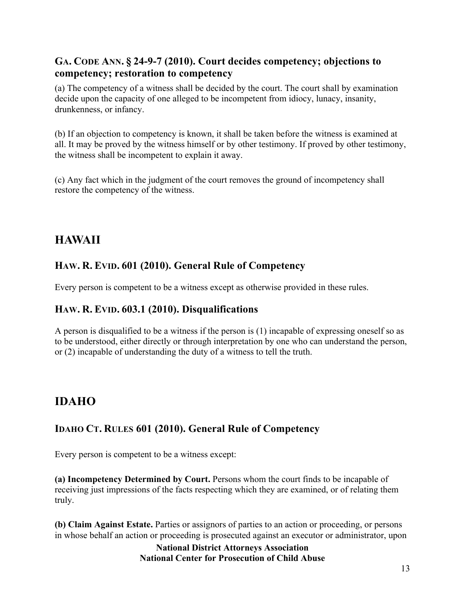#### **GA. CODE ANN. § 24-9-7 (2010). Court decides competency; objections to competency; restoration to competency**

(a) The competency of a witness shall be decided by the court. The court shall by examination decide upon the capacity of one alleged to be incompetent from idiocy, lunacy, insanity, drunkenness, or infancy.

(b) If an objection to competency is known, it shall be taken before the witness is examined at all. It may be proved by the witness himself or by other testimony. If proved by other testimony, the witness shall be incompetent to explain it away.

(c) Any fact which in the judgment of the court removes the ground of incompetency shall restore the competency of the witness.

# **HAWAII**

### **HAW. R. EVID. 601 (2010). General Rule of Competency**

Every person is competent to be a witness except as otherwise provided in these rules.

### **HAW. R. EVID. 603.1 (2010). Disqualifications**

A person is disqualified to be a witness if the person is (1) incapable of expressing oneself so as to be understood, either directly or through interpretation by one who can understand the person, or (2) incapable of understanding the duty of a witness to tell the truth.

# **IDAHO**

### **IDAHO CT. RULES 601 (2010). General Rule of Competency**

Every person is competent to be a witness except:

**(a) Incompetency Determined by Court.** Persons whom the court finds to be incapable of receiving just impressions of the facts respecting which they are examined, or of relating them truly.

**(b) Claim Against Estate.** Parties or assignors of parties to an action or proceeding, or persons in whose behalf an action or proceeding is prosecuted against an executor or administrator, upon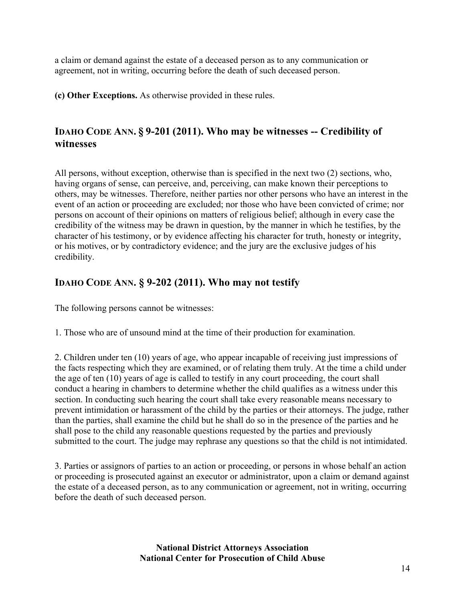a claim or demand against the estate of a deceased person as to any communication or agreement, not in writing, occurring before the death of such deceased person.

**(c) Other Exceptions.** As otherwise provided in these rules.

### **IDAHO CODE ANN. § 9-201 (2011). Who may be witnesses -- Credibility of witnesses**

All persons, without exception, otherwise than is specified in the next two (2) sections, who, having organs of sense, can perceive, and, perceiving, can make known their perceptions to others, may be witnesses. Therefore, neither parties nor other persons who have an interest in the event of an action or proceeding are excluded; nor those who have been convicted of crime; nor persons on account of their opinions on matters of religious belief; although in every case the credibility of the witness may be drawn in question, by the manner in which he testifies, by the character of his testimony, or by evidence affecting his character for truth, honesty or integrity, or his motives, or by contradictory evidence; and the jury are the exclusive judges of his credibility.

### **IDAHO CODE ANN. § 9-202 (2011). Who may not testify**

The following persons cannot be witnesses:

1. Those who are of unsound mind at the time of their production for examination.

2. Children under ten (10) years of age, who appear incapable of receiving just impressions of the facts respecting which they are examined, or of relating them truly. At the time a child under the age of ten (10) years of age is called to testify in any court proceeding, the court shall conduct a hearing in chambers to determine whether the child qualifies as a witness under this section. In conducting such hearing the court shall take every reasonable means necessary to prevent intimidation or harassment of the child by the parties or their attorneys. The judge, rather than the parties, shall examine the child but he shall do so in the presence of the parties and he shall pose to the child any reasonable questions requested by the parties and previously submitted to the court. The judge may rephrase any questions so that the child is not intimidated.

3. Parties or assignors of parties to an action or proceeding, or persons in whose behalf an action or proceeding is prosecuted against an executor or administrator, upon a claim or demand against the estate of a deceased person, as to any communication or agreement, not in writing, occurring before the death of such deceased person.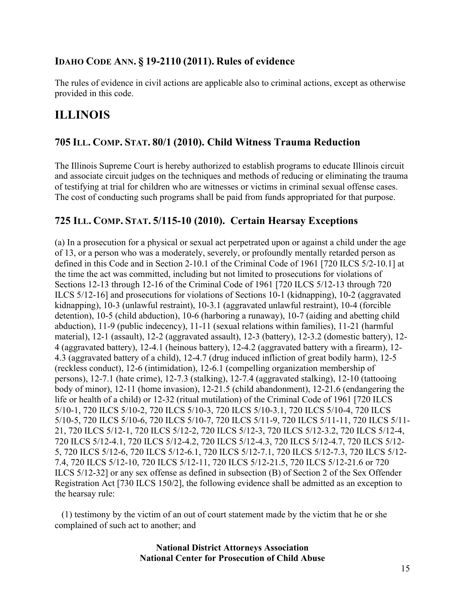#### **IDAHO CODE ANN. § 19-2110 (2011). Rules of evidence**

The rules of evidence in civil actions are applicable also to criminal actions, except as otherwise provided in this code.

### **ILLINOIS**

#### **705 ILL. COMP. STAT. 80/1 (2010). Child Witness Trauma Reduction**

The Illinois Supreme Court is hereby authorized to establish programs to educate Illinois circuit and associate circuit judges on the techniques and methods of reducing or eliminating the trauma of testifying at trial for children who are witnesses or victims in criminal sexual offense cases. The cost of conducting such programs shall be paid from funds appropriated for that purpose.

#### **725 ILL. COMP. STAT. 5/115-10 (2010). Certain Hearsay Exceptions**

(a) In a prosecution for a physical or sexual act perpetrated upon or against a child under the age of 13, or a person who was a moderately, severely, or profoundly mentally retarded person as defined in this Code and in Section 2-10.1 of the Criminal Code of 1961 [720 ILCS 5/2-10.1] at the time the act was committed, including but not limited to prosecutions for violations of Sections 12-13 through 12-16 of the Criminal Code of 1961 [720 ILCS 5/12-13 through 720 ILCS 5/12-16] and prosecutions for violations of Sections 10-1 (kidnapping), 10-2 (aggravated kidnapping), 10-3 (unlawful restraint), 10-3.1 (aggravated unlawful restraint), 10-4 (forcible detention), 10-5 (child abduction), 10-6 (harboring a runaway), 10-7 (aiding and abetting child abduction), 11-9 (public indecency), 11-11 (sexual relations within families), 11-21 (harmful material), 12-1 (assault), 12-2 (aggravated assault), 12-3 (battery), 12-3.2 (domestic battery), 12- 4 (aggravated battery), 12-4.1 (heinous battery), 12-4.2 (aggravated battery with a firearm), 12- 4.3 (aggravated battery of a child), 12-4.7 (drug induced infliction of great bodily harm), 12-5 (reckless conduct), 12-6 (intimidation), 12-6.1 (compelling organization membership of persons), 12-7.1 (hate crime), 12-7.3 (stalking), 12-7.4 (aggravated stalking), 12-10 (tattooing body of minor), 12-11 (home invasion), 12-21.5 (child abandonment), 12-21.6 (endangering the life or health of a child) or 12-32 (ritual mutilation) of the Criminal Code of 1961 [720 ILCS 5/10-1, 720 ILCS 5/10-2, 720 ILCS 5/10-3, 720 ILCS 5/10-3.1, 720 ILCS 5/10-4, 720 ILCS 5/10-5, 720 ILCS 5/10-6, 720 ILCS 5/10-7, 720 ILCS 5/11-9, 720 ILCS 5/11-11, 720 ILCS 5/11- 21, 720 ILCS 5/12-1, 720 ILCS 5/12-2, 720 ILCS 5/12-3, 720 ILCS 5/12-3.2, 720 ILCS 5/12-4, 720 ILCS 5/12-4.1, 720 ILCS 5/12-4.2, 720 ILCS 5/12-4.3, 720 ILCS 5/12-4.7, 720 ILCS 5/12- 5, 720 ILCS 5/12-6, 720 ILCS 5/12-6.1, 720 ILCS 5/12-7.1, 720 ILCS 5/12-7.3, 720 ILCS 5/12- 7.4, 720 ILCS 5/12-10, 720 ILCS 5/12-11, 720 ILCS 5/12-21.5, 720 ILCS 5/12-21.6 or 720 ILCS 5/12-32] or any sex offense as defined in subsection (B) of Section 2 of the Sex Offender Registration Act [730 ILCS 150/2], the following evidence shall be admitted as an exception to the hearsay rule:

(1) testimony by the victim of an out of court statement made by the victim that he or she complained of such act to another; and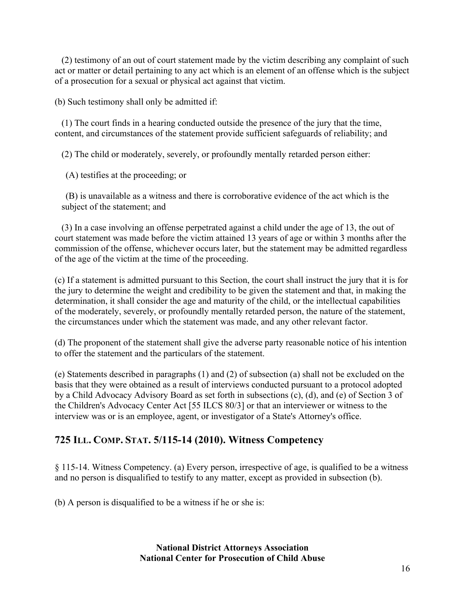(2) testimony of an out of court statement made by the victim describing any complaint of such act or matter or detail pertaining to any act which is an element of an offense which is the subject of a prosecution for a sexual or physical act against that victim.

(b) Such testimony shall only be admitted if:

(1) The court finds in a hearing conducted outside the presence of the jury that the time, content, and circumstances of the statement provide sufficient safeguards of reliability; and

(2) The child or moderately, severely, or profoundly mentally retarded person either:

(A) testifies at the proceeding; or

(B) is unavailable as a witness and there is corroborative evidence of the act which is the subject of the statement; and

(3) In a case involving an offense perpetrated against a child under the age of 13, the out of court statement was made before the victim attained 13 years of age or within 3 months after the commission of the offense, whichever occurs later, but the statement may be admitted regardless of the age of the victim at the time of the proceeding.

(c) If a statement is admitted pursuant to this Section, the court shall instruct the jury that it is for the jury to determine the weight and credibility to be given the statement and that, in making the determination, it shall consider the age and maturity of the child, or the intellectual capabilities of the moderately, severely, or profoundly mentally retarded person, the nature of the statement, the circumstances under which the statement was made, and any other relevant factor.

(d) The proponent of the statement shall give the adverse party reasonable notice of his intention to offer the statement and the particulars of the statement.

(e) Statements described in paragraphs (1) and (2) of subsection (a) shall not be excluded on the basis that they were obtained as a result of interviews conducted pursuant to a protocol adopted by a Child Advocacy Advisory Board as set forth in subsections (c), (d), and (e) of Section 3 of the Children's Advocacy Center Act [55 ILCS 80/3] or that an interviewer or witness to the interview was or is an employee, agent, or investigator of a State's Attorney's office.

### **725 ILL. COMP. STAT. 5/115-14 (2010). Witness Competency**

§ 115-14. Witness Competency. (a) Every person, irrespective of age, is qualified to be a witness and no person is disqualified to testify to any matter, except as provided in subsection (b).

(b) A person is disqualified to be a witness if he or she is: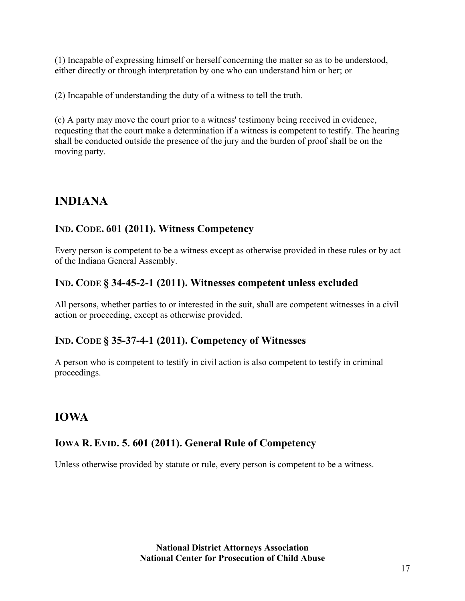(1) Incapable of expressing himself or herself concerning the matter so as to be understood, either directly or through interpretation by one who can understand him or her; or

(2) Incapable of understanding the duty of a witness to tell the truth.

(c) A party may move the court prior to a witness' testimony being received in evidence, requesting that the court make a determination if a witness is competent to testify. The hearing shall be conducted outside the presence of the jury and the burden of proof shall be on the moving party.

# **INDIANA**

### **IND. CODE. 601 (2011). Witness Competency**

Every person is competent to be a witness except as otherwise provided in these rules or by act of the Indiana General Assembly.

### **IND. CODE § 34-45-2-1 (2011). Witnesses competent unless excluded**

All persons, whether parties to or interested in the suit, shall are competent witnesses in a civil action or proceeding, except as otherwise provided.

### **IND. CODE § 35-37-4-1 (2011). Competency of Witnesses**

A person who is competent to testify in civil action is also competent to testify in criminal proceedings.

### **IOWA**

### **IOWA R. EVID. 5. 601 (2011). General Rule of Competency**

Unless otherwise provided by statute or rule, every person is competent to be a witness.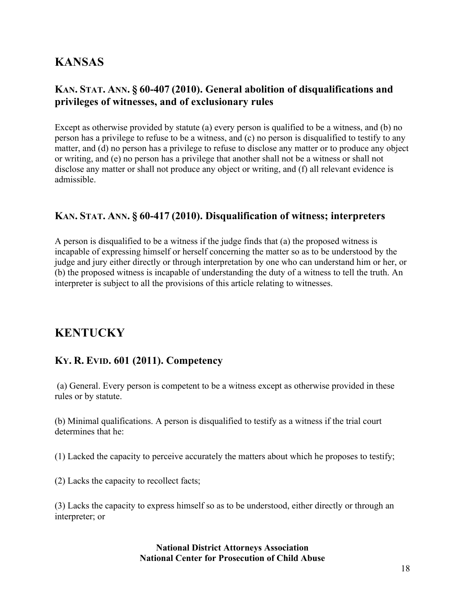# **KANSAS**

#### **KAN. STAT. ANN. § 60-407 (2010). General abolition of disqualifications and privileges of witnesses, and of exclusionary rules**

Except as otherwise provided by statute (a) every person is qualified to be a witness, and (b) no person has a privilege to refuse to be a witness, and (c) no person is disqualified to testify to any matter, and (d) no person has a privilege to refuse to disclose any matter or to produce any object or writing, and (e) no person has a privilege that another shall not be a witness or shall not disclose any matter or shall not produce any object or writing, and (f) all relevant evidence is admissible.

#### **KAN. STAT. ANN. § 60-417 (2010). Disqualification of witness; interpreters**

A person is disqualified to be a witness if the judge finds that (a) the proposed witness is incapable of expressing himself or herself concerning the matter so as to be understood by the judge and jury either directly or through interpretation by one who can understand him or her, or (b) the proposed witness is incapable of understanding the duty of a witness to tell the truth. An interpreter is subject to all the provisions of this article relating to witnesses.

### **KENTUCKY**

#### **KY. R. EVID. 601 (2011). Competency**

 (a) General. Every person is competent to be a witness except as otherwise provided in these rules or by statute.

(b) Minimal qualifications. A person is disqualified to testify as a witness if the trial court determines that he:

(1) Lacked the capacity to perceive accurately the matters about which he proposes to testify;

(2) Lacks the capacity to recollect facts;

(3) Lacks the capacity to express himself so as to be understood, either directly or through an interpreter; or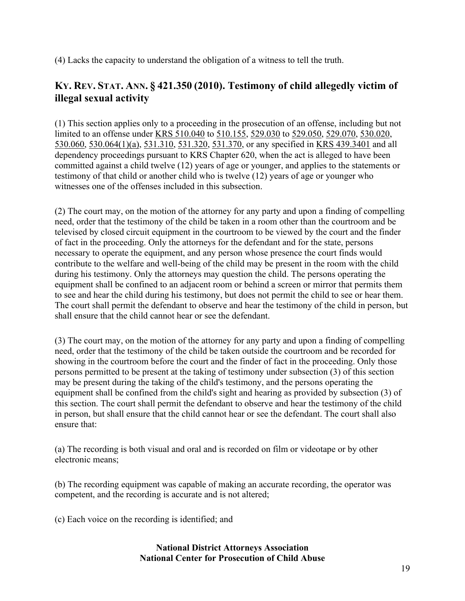(4) Lacks the capacity to understand the obligation of a witness to tell the truth.

### **KY. REV. STAT. ANN. § 421.350 (2010). Testimony of child allegedly victim of illegal sexual activity**

(1) This section applies only to a proceeding in the prosecution of an offense, including but not limited to an offense under KRS 510.040 to 510.155, 529.030 to 529.050, 529.070, 530.020, 530.060, 530.064(1)(a), 531.310, 531.320, 531.370, or any specified in KRS 439.3401 and all dependency proceedings pursuant to KRS Chapter 620, when the act is alleged to have been committed against a child twelve (12) years of age or younger, and applies to the statements or testimony of that child or another child who is twelve (12) years of age or younger who witnesses one of the offenses included in this subsection.

(2) The court may, on the motion of the attorney for any party and upon a finding of compelling need, order that the testimony of the child be taken in a room other than the courtroom and be televised by closed circuit equipment in the courtroom to be viewed by the court and the finder of fact in the proceeding. Only the attorneys for the defendant and for the state, persons necessary to operate the equipment, and any person whose presence the court finds would contribute to the welfare and well-being of the child may be present in the room with the child during his testimony. Only the attorneys may question the child. The persons operating the equipment shall be confined to an adjacent room or behind a screen or mirror that permits them to see and hear the child during his testimony, but does not permit the child to see or hear them. The court shall permit the defendant to observe and hear the testimony of the child in person, but shall ensure that the child cannot hear or see the defendant.

(3) The court may, on the motion of the attorney for any party and upon a finding of compelling need, order that the testimony of the child be taken outside the courtroom and be recorded for showing in the courtroom before the court and the finder of fact in the proceeding. Only those persons permitted to be present at the taking of testimony under subsection (3) of this section may be present during the taking of the child's testimony, and the persons operating the equipment shall be confined from the child's sight and hearing as provided by subsection (3) of this section. The court shall permit the defendant to observe and hear the testimony of the child in person, but shall ensure that the child cannot hear or see the defendant. The court shall also ensure that:

(a) The recording is both visual and oral and is recorded on film or videotape or by other electronic means;

(b) The recording equipment was capable of making an accurate recording, the operator was competent, and the recording is accurate and is not altered;

(c) Each voice on the recording is identified; and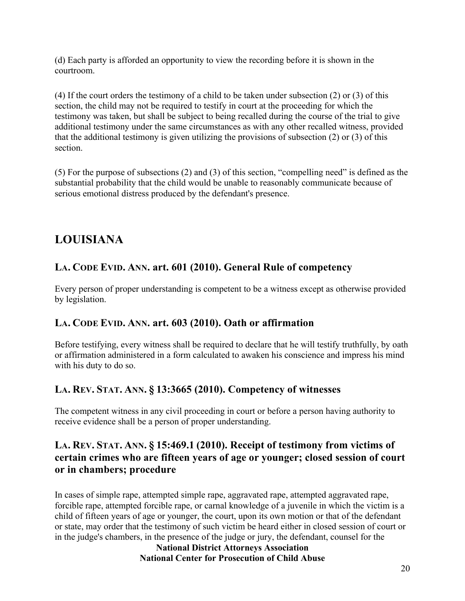(d) Each party is afforded an opportunity to view the recording before it is shown in the courtroom.

(4) If the court orders the testimony of a child to be taken under subsection (2) or (3) of this section, the child may not be required to testify in court at the proceeding for which the testimony was taken, but shall be subject to being recalled during the course of the trial to give additional testimony under the same circumstances as with any other recalled witness, provided that the additional testimony is given utilizing the provisions of subsection (2) or (3) of this section.

(5) For the purpose of subsections (2) and (3) of this section, "compelling need" is defined as the substantial probability that the child would be unable to reasonably communicate because of serious emotional distress produced by the defendant's presence.

# **LOUISIANA**

#### **LA. CODE EVID. ANN. art. 601 (2010). General Rule of competency**

Every person of proper understanding is competent to be a witness except as otherwise provided by legislation.

#### **LA. CODE EVID. ANN. art. 603 (2010). Oath or affirmation**

Before testifying, every witness shall be required to declare that he will testify truthfully, by oath or affirmation administered in a form calculated to awaken his conscience and impress his mind with his duty to do so.

#### **LA. REV. STAT. ANN. § 13:3665 (2010). Competency of witnesses**

The competent witness in any civil proceeding in court or before a person having authority to receive evidence shall be a person of proper understanding.

#### **LA. REV. STAT. ANN. § 15:469.1 (2010). Receipt of testimony from victims of certain crimes who are fifteen years of age or younger; closed session of court or in chambers; procedure**

In cases of simple rape, attempted simple rape, aggravated rape, attempted aggravated rape, forcible rape, attempted forcible rape, or carnal knowledge of a juvenile in which the victim is a child of fifteen years of age or younger, the court, upon its own motion or that of the defendant or state, may order that the testimony of such victim be heard either in closed session of court or in the judge's chambers, in the presence of the judge or jury, the defendant, counsel for the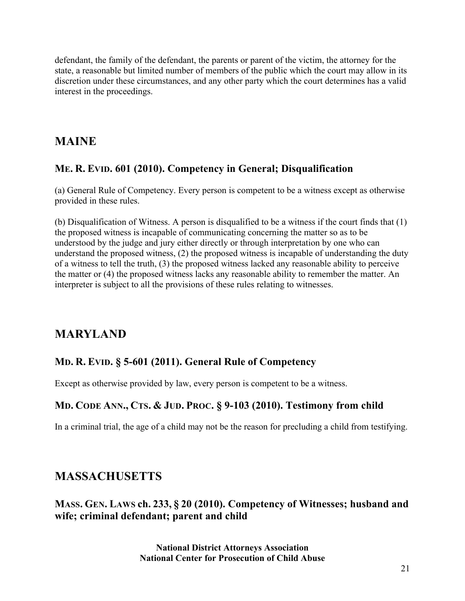defendant, the family of the defendant, the parents or parent of the victim, the attorney for the state, a reasonable but limited number of members of the public which the court may allow in its discretion under these circumstances, and any other party which the court determines has a valid interest in the proceedings.

### **MAINE**

#### **ME. R. EVID. 601 (2010). Competency in General; Disqualification**

(a) General Rule of Competency. Every person is competent to be a witness except as otherwise provided in these rules.

(b) Disqualification of Witness. A person is disqualified to be a witness if the court finds that (1) the proposed witness is incapable of communicating concerning the matter so as to be understood by the judge and jury either directly or through interpretation by one who can understand the proposed witness, (2) the proposed witness is incapable of understanding the duty of a witness to tell the truth, (3) the proposed witness lacked any reasonable ability to perceive the matter or (4) the proposed witness lacks any reasonable ability to remember the matter. An interpreter is subject to all the provisions of these rules relating to witnesses.

### **MARYLAND**

### **MD. R. EVID. § 5-601 (2011). General Rule of Competency**

Except as otherwise provided by law, every person is competent to be a witness.

#### **MD. CODE ANN., CTS. & JUD. PROC. § 9-103 (2010). Testimony from child**

In a criminal trial, the age of a child may not be the reason for precluding a child from testifying.

### **MASSACHUSETTS**

#### **MASS. GEN. LAWS ch. 233, § 20 (2010). Competency of Witnesses; husband and wife; criminal defendant; parent and child**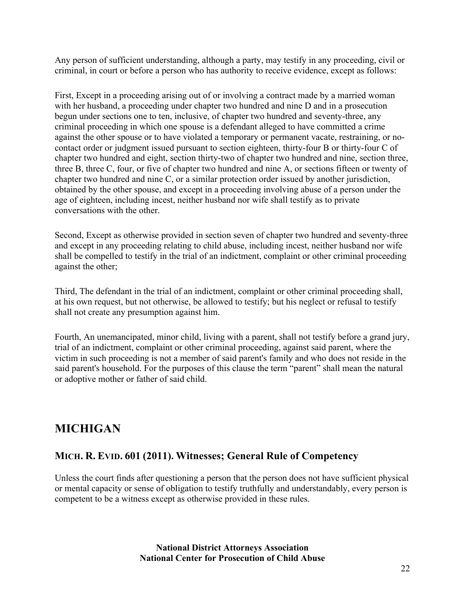Any person of sufficient understanding, although a party, may testify in any proceeding, civil or criminal, in court or before a person who has authority to receive evidence, except as follows:

First, Except in a proceeding arising out of or involving a contract made by a married woman with her husband, a proceeding under chapter two hundred and nine D and in a prosecution begun under sections one to ten, inclusive, of chapter two hundred and seventy-three, any criminal proceeding in which one spouse is a defendant alleged to have committed a crime against the other spouse or to have violated a temporary or permanent vacate, restraining, or nocontact order or judgment issued pursuant to section eighteen, thirty-four B or thirty-four C of chapter two hundred and eight, section thirty-two of chapter two hundred and nine, section three, three B, three C, four, or five of chapter two hundred and nine A, or sections fifteen or twenty of chapter two hundred and nine C, or a similar protection order issued by another jurisdiction, obtained by the other spouse, and except in a proceeding involving abuse of a person under the age of eighteen, including incest, neither husband nor wife shall testify as to private conversations with the other.

Second, Except as otherwise provided in section seven of chapter two hundred and seventy-three and except in any proceeding relating to child abuse, including incest, neither husband nor wife shall be compelled to testify in the trial of an indictment, complaint or other criminal proceeding against the other;

Third, The defendant in the trial of an indictment, complaint or other criminal proceeding shall, at his own request, but not otherwise, be allowed to testify; but his neglect or refusal to testify shall not create any presumption against him.

Fourth, An unemancipated, minor child, living with a parent, shall not testify before a grand jury, trial of an indictment, complaint or other criminal proceeding, against said parent, where the victim in such proceeding is not a member of said parent's family and who does not reside in the said parent's household. For the purposes of this clause the term "parent" shall mean the natural or adoptive mother or father of said child.

### **MICHIGAN**

#### **MICH. R. EVID. 601 (2011). Witnesses; General Rule of Competency**

Unless the court finds after questioning a person that the person does not have sufficient physical or mental capacity or sense of obligation to testify truthfully and understandably, every person is competent to be a witness except as otherwise provided in these rules.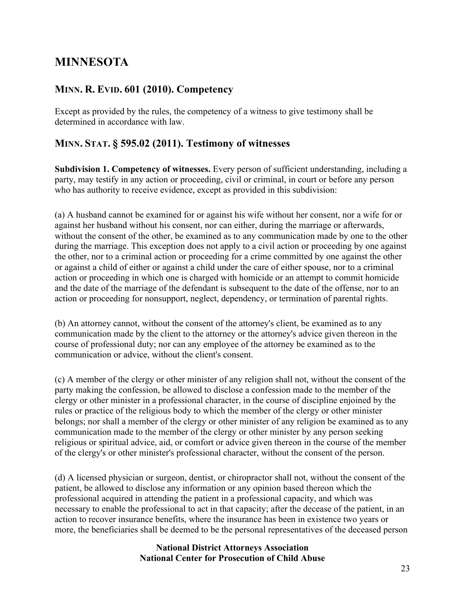# **MINNESOTA**

#### **MINN. R. EVID. 601 (2010). Competency**

Except as provided by the rules, the competency of a witness to give testimony shall be determined in accordance with law.

#### **MINN. STAT. § 595.02 (2011). Testimony of witnesses**

**Subdivision 1. Competency of witnesses.** Every person of sufficient understanding, including a party, may testify in any action or proceeding, civil or criminal, in court or before any person who has authority to receive evidence, except as provided in this subdivision:

(a) A husband cannot be examined for or against his wife without her consent, nor a wife for or against her husband without his consent, nor can either, during the marriage or afterwards, without the consent of the other, be examined as to any communication made by one to the other during the marriage. This exception does not apply to a civil action or proceeding by one against the other, nor to a criminal action or proceeding for a crime committed by one against the other or against a child of either or against a child under the care of either spouse, nor to a criminal action or proceeding in which one is charged with homicide or an attempt to commit homicide and the date of the marriage of the defendant is subsequent to the date of the offense, nor to an action or proceeding for nonsupport, neglect, dependency, or termination of parental rights.

(b) An attorney cannot, without the consent of the attorney's client, be examined as to any communication made by the client to the attorney or the attorney's advice given thereon in the course of professional duty; nor can any employee of the attorney be examined as to the communication or advice, without the client's consent.

(c) A member of the clergy or other minister of any religion shall not, without the consent of the party making the confession, be allowed to disclose a confession made to the member of the clergy or other minister in a professional character, in the course of discipline enjoined by the rules or practice of the religious body to which the member of the clergy or other minister belongs; nor shall a member of the clergy or other minister of any religion be examined as to any communication made to the member of the clergy or other minister by any person seeking religious or spiritual advice, aid, or comfort or advice given thereon in the course of the member of the clergy's or other minister's professional character, without the consent of the person.

(d) A licensed physician or surgeon, dentist, or chiropractor shall not, without the consent of the patient, be allowed to disclose any information or any opinion based thereon which the professional acquired in attending the patient in a professional capacity, and which was necessary to enable the professional to act in that capacity; after the decease of the patient, in an action to recover insurance benefits, where the insurance has been in existence two years or more, the beneficiaries shall be deemed to be the personal representatives of the deceased person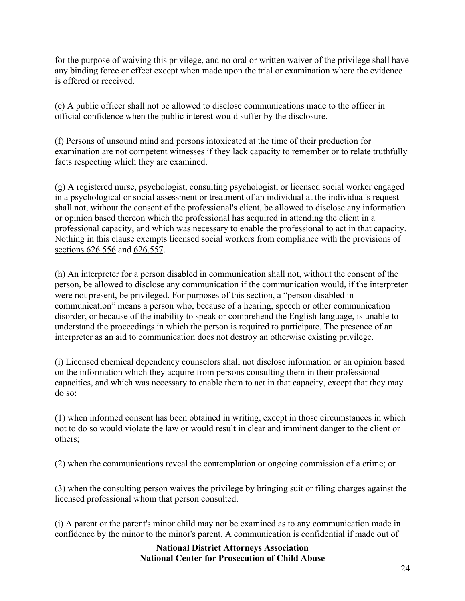for the purpose of waiving this privilege, and no oral or written waiver of the privilege shall have any binding force or effect except when made upon the trial or examination where the evidence is offered or received.

(e) A public officer shall not be allowed to disclose communications made to the officer in official confidence when the public interest would suffer by the disclosure.

(f) Persons of unsound mind and persons intoxicated at the time of their production for examination are not competent witnesses if they lack capacity to remember or to relate truthfully facts respecting which they are examined.

(g) A registered nurse, psychologist, consulting psychologist, or licensed social worker engaged in a psychological or social assessment or treatment of an individual at the individual's request shall not, without the consent of the professional's client, be allowed to disclose any information or opinion based thereon which the professional has acquired in attending the client in a professional capacity, and which was necessary to enable the professional to act in that capacity. Nothing in this clause exempts licensed social workers from compliance with the provisions of sections 626.556 and 626.557.

(h) An interpreter for a person disabled in communication shall not, without the consent of the person, be allowed to disclose any communication if the communication would, if the interpreter were not present, be privileged. For purposes of this section, a "person disabled in communication" means a person who, because of a hearing, speech or other communication disorder, or because of the inability to speak or comprehend the English language, is unable to understand the proceedings in which the person is required to participate. The presence of an interpreter as an aid to communication does not destroy an otherwise existing privilege.

(i) Licensed chemical dependency counselors shall not disclose information or an opinion based on the information which they acquire from persons consulting them in their professional capacities, and which was necessary to enable them to act in that capacity, except that they may do so:

(1) when informed consent has been obtained in writing, except in those circumstances in which not to do so would violate the law or would result in clear and imminent danger to the client or others;

(2) when the communications reveal the contemplation or ongoing commission of a crime; or

(3) when the consulting person waives the privilege by bringing suit or filing charges against the licensed professional whom that person consulted.

(j) A parent or the parent's minor child may not be examined as to any communication made in confidence by the minor to the minor's parent. A communication is confidential if made out of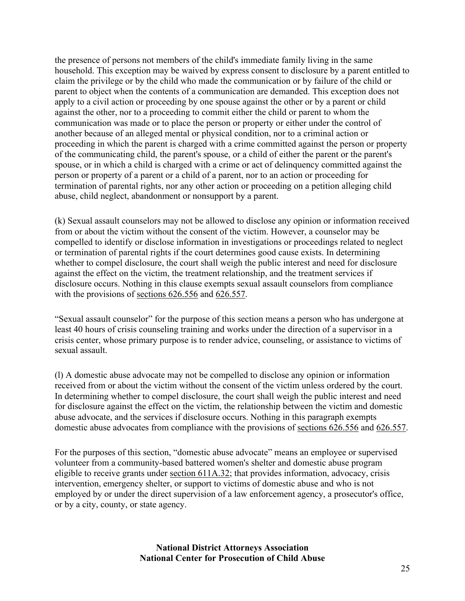the presence of persons not members of the child's immediate family living in the same household. This exception may be waived by express consent to disclosure by a parent entitled to claim the privilege or by the child who made the communication or by failure of the child or parent to object when the contents of a communication are demanded. This exception does not apply to a civil action or proceeding by one spouse against the other or by a parent or child against the other, nor to a proceeding to commit either the child or parent to whom the communication was made or to place the person or property or either under the control of another because of an alleged mental or physical condition, nor to a criminal action or proceeding in which the parent is charged with a crime committed against the person or property of the communicating child, the parent's spouse, or a child of either the parent or the parent's spouse, or in which a child is charged with a crime or act of delinquency committed against the person or property of a parent or a child of a parent, nor to an action or proceeding for termination of parental rights, nor any other action or proceeding on a petition alleging child abuse, child neglect, abandonment or nonsupport by a parent.

(k) Sexual assault counselors may not be allowed to disclose any opinion or information received from or about the victim without the consent of the victim. However, a counselor may be compelled to identify or disclose information in investigations or proceedings related to neglect or termination of parental rights if the court determines good cause exists. In determining whether to compel disclosure, the court shall weigh the public interest and need for disclosure against the effect on the victim, the treatment relationship, and the treatment services if disclosure occurs. Nothing in this clause exempts sexual assault counselors from compliance with the provisions of sections 626.556 and 626.557.

"Sexual assault counselor" for the purpose of this section means a person who has undergone at least 40 hours of crisis counseling training and works under the direction of a supervisor in a crisis center, whose primary purpose is to render advice, counseling, or assistance to victims of sexual assault.

(l) A domestic abuse advocate may not be compelled to disclose any opinion or information received from or about the victim without the consent of the victim unless ordered by the court. In determining whether to compel disclosure, the court shall weigh the public interest and need for disclosure against the effect on the victim, the relationship between the victim and domestic abuse advocate, and the services if disclosure occurs. Nothing in this paragraph exempts domestic abuse advocates from compliance with the provisions of <u>sections 626.556</u> and 626.557.

For the purposes of this section, "domestic abuse advocate" means an employee or supervised volunteer from a community-based battered women's shelter and domestic abuse program eligible to receive grants under section 611A.32; that provides information, advocacy, crisis intervention, emergency shelter, or support to victims of domestic abuse and who is not employed by or under the direct supervision of a law enforcement agency, a prosecutor's office, or by a city, county, or state agency.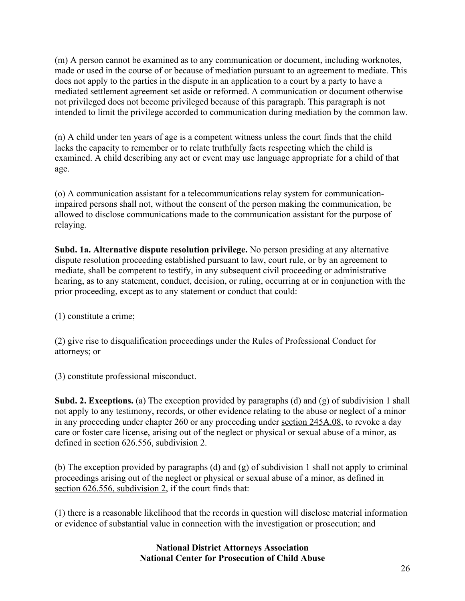(m) A person cannot be examined as to any communication or document, including worknotes, made or used in the course of or because of mediation pursuant to an agreement to mediate. This does not apply to the parties in the dispute in an application to a court by a party to have a mediated settlement agreement set aside or reformed. A communication or document otherwise not privileged does not become privileged because of this paragraph. This paragraph is not intended to limit the privilege accorded to communication during mediation by the common law.

(n) A child under ten years of age is a competent witness unless the court finds that the child lacks the capacity to remember or to relate truthfully facts respecting which the child is examined. A child describing any act or event may use language appropriate for a child of that age.

(o) A communication assistant for a telecommunications relay system for communicationimpaired persons shall not, without the consent of the person making the communication, be allowed to disclose communications made to the communication assistant for the purpose of relaying.

**Subd. 1a. Alternative dispute resolution privilege.** No person presiding at any alternative dispute resolution proceeding established pursuant to law, court rule, or by an agreement to mediate, shall be competent to testify, in any subsequent civil proceeding or administrative hearing, as to any statement, conduct, decision, or ruling, occurring at or in conjunction with the prior proceeding, except as to any statement or conduct that could:

(1) constitute a crime;

(2) give rise to disqualification proceedings under the Rules of Professional Conduct for attorneys; or

(3) constitute professional misconduct.

**Subd. 2. Exceptions.** (a) The exception provided by paragraphs (d) and (g) of subdivision 1 shall not apply to any testimony, records, or other evidence relating to the abuse or neglect of a minor in any proceeding under chapter 260 or any proceeding under section 245A.08, to revoke a day care or foster care license, arising out of the neglect or physical or sexual abuse of a minor, as defined in section 626.556, subdivision 2.

(b) The exception provided by paragraphs (d) and (g) of subdivision 1 shall not apply to criminal proceedings arising out of the neglect or physical or sexual abuse of a minor, as defined in section 626.556, subdivision 2, if the court finds that:

(1) there is a reasonable likelihood that the records in question will disclose material information or evidence of substantial value in connection with the investigation or prosecution; and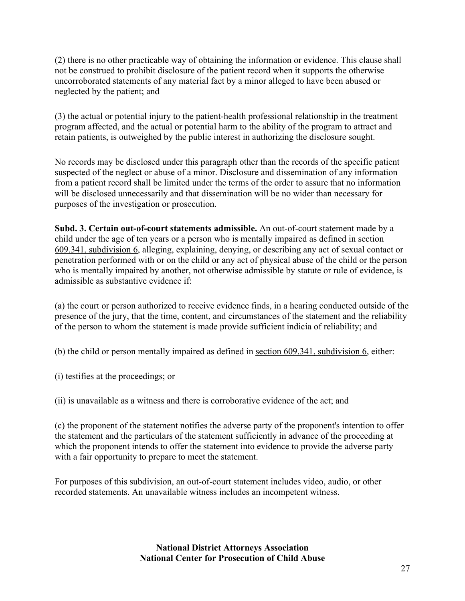(2) there is no other practicable way of obtaining the information or evidence. This clause shall not be construed to prohibit disclosure of the patient record when it supports the otherwise uncorroborated statements of any material fact by a minor alleged to have been abused or neglected by the patient; and

(3) the actual or potential injury to the patient-health professional relationship in the treatment program affected, and the actual or potential harm to the ability of the program to attract and retain patients, is outweighed by the public interest in authorizing the disclosure sought.

No records may be disclosed under this paragraph other than the records of the specific patient suspected of the neglect or abuse of a minor. Disclosure and dissemination of any information from a patient record shall be limited under the terms of the order to assure that no information will be disclosed unnecessarily and that dissemination will be no wider than necessary for purposes of the investigation or prosecution.

**Subd. 3. Certain out-of-court statements admissible.** An out-of-court statement made by a child under the age of ten years or a person who is mentally impaired as defined in section 609.341, subdivision 6, alleging, explaining, denying, or describing any act of sexual contact or penetration performed with or on the child or any act of physical abuse of the child or the person who is mentally impaired by another, not otherwise admissible by statute or rule of evidence, is admissible as substantive evidence if:

(a) the court or person authorized to receive evidence finds, in a hearing conducted outside of the presence of the jury, that the time, content, and circumstances of the statement and the reliability of the person to whom the statement is made provide sufficient indicia of reliability; and

(b) the child or person mentally impaired as defined in section 609.341, subdivision 6, either:

(i) testifies at the proceedings; or

(ii) is unavailable as a witness and there is corroborative evidence of the act; and

(c) the proponent of the statement notifies the adverse party of the proponent's intention to offer the statement and the particulars of the statement sufficiently in advance of the proceeding at which the proponent intends to offer the statement into evidence to provide the adverse party with a fair opportunity to prepare to meet the statement.

For purposes of this subdivision, an out-of-court statement includes video, audio, or other recorded statements. An unavailable witness includes an incompetent witness.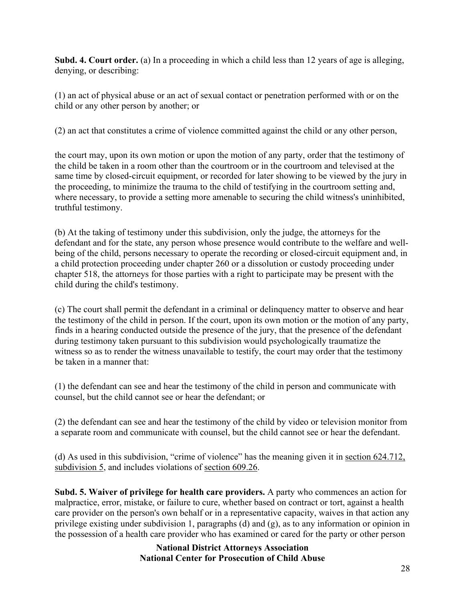**Subd. 4. Court order.** (a) In a proceeding in which a child less than 12 years of age is alleging, denying, or describing:

(1) an act of physical abuse or an act of sexual contact or penetration performed with or on the child or any other person by another; or

(2) an act that constitutes a crime of violence committed against the child or any other person,

the court may, upon its own motion or upon the motion of any party, order that the testimony of the child be taken in a room other than the courtroom or in the courtroom and televised at the same time by closed-circuit equipment, or recorded for later showing to be viewed by the jury in the proceeding, to minimize the trauma to the child of testifying in the courtroom setting and, where necessary, to provide a setting more amenable to securing the child witness's uninhibited, truthful testimony.

(b) At the taking of testimony under this subdivision, only the judge, the attorneys for the defendant and for the state, any person whose presence would contribute to the welfare and wellbeing of the child, persons necessary to operate the recording or closed-circuit equipment and, in a child protection proceeding under chapter 260 or a dissolution or custody proceeding under chapter 518, the attorneys for those parties with a right to participate may be present with the child during the child's testimony.

(c) The court shall permit the defendant in a criminal or delinquency matter to observe and hear the testimony of the child in person. If the court, upon its own motion or the motion of any party, finds in a hearing conducted outside the presence of the jury, that the presence of the defendant during testimony taken pursuant to this subdivision would psychologically traumatize the witness so as to render the witness unavailable to testify, the court may order that the testimony be taken in a manner that:

(1) the defendant can see and hear the testimony of the child in person and communicate with counsel, but the child cannot see or hear the defendant; or

(2) the defendant can see and hear the testimony of the child by video or television monitor from a separate room and communicate with counsel, but the child cannot see or hear the defendant.

(d) As used in this subdivision, "crime of violence" has the meaning given it in section 624.712, subdivision 5, and includes violations of section 609.26.

**Subd. 5. Waiver of privilege for health care providers.** A party who commences an action for malpractice, error, mistake, or failure to cure, whether based on contract or tort, against a health care provider on the person's own behalf or in a representative capacity, waives in that action any privilege existing under subdivision 1, paragraphs (d) and (g), as to any information or opinion in the possession of a health care provider who has examined or cared for the party or other person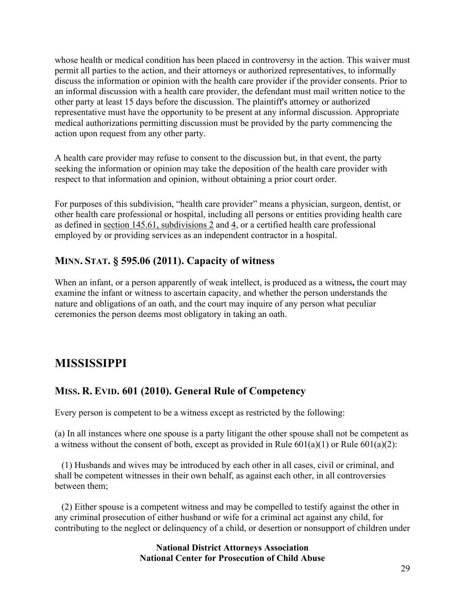whose health or medical condition has been placed in controversy in the action. This waiver must permit all parties to the action, and their attorneys or authorized representatives, to informally discuss the information or opinion with the health care provider if the provider consents. Prior to an informal discussion with a health care provider, the defendant must mail written notice to the other party at least 15 days before the discussion. The plaintiff's attorney or authorized representative must have the opportunity to be present at any informal discussion. Appropriate medical authorizations permitting discussion must be provided by the party commencing the action upon request from any other party.

A health care provider may refuse to consent to the discussion but, in that event, the party seeking the information or opinion may take the deposition of the health care provider with respect to that information and opinion, without obtaining a prior court order.

For purposes of this subdivision, "health care provider" means a physician, surgeon, dentist, or other health care professional or hospital, including all persons or entities providing health care as defined in section 145.61, subdivisions 2 and 4, or a certified health care professional employed by or providing services as an independent contractor in a hospital.

#### **MINN. STAT. § 595.06 (2011). Capacity of witness**

When an infant, or a person apparently of weak intellect, is produced as a witness**,** the court may examine the infant or witness to ascertain capacity, and whether the person understands the nature and obligations of an oath, and the court may inquire of any person what peculiar ceremonies the person deems most obligatory in taking an oath.

# **MISSISSIPPI**

### **MISS. R. EVID. 601 (2010). General Rule of Competency**

Every person is competent to be a witness except as restricted by the following:

(a) In all instances where one spouse is a party litigant the other spouse shall not be competent as a witness without the consent of both, except as provided in Rule  $601(a)(1)$  or Rule  $601(a)(2)$ :

(1) Husbands and wives may be introduced by each other in all cases, civil or criminal, and shall be competent witnesses in their own behalf, as against each other, in all controversies between them;

(2) Either spouse is a competent witness and may be compelled to testify against the other in any criminal prosecution of either husband or wife for a criminal act against any child, for contributing to the neglect or delinquency of a child, or desertion or nonsupport of children under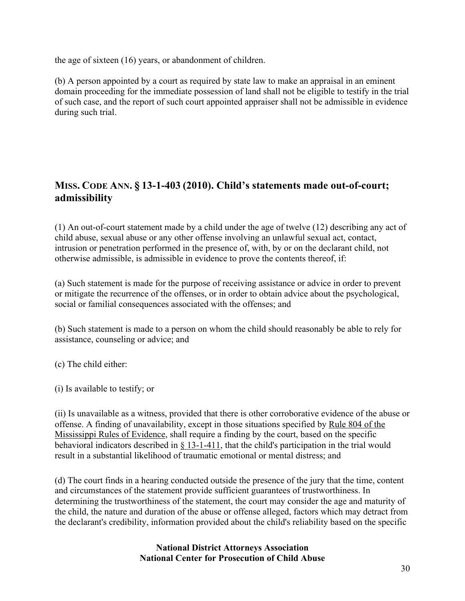the age of sixteen (16) years, or abandonment of children.

(b) A person appointed by a court as required by state law to make an appraisal in an eminent domain proceeding for the immediate possession of land shall not be eligible to testify in the trial of such case, and the report of such court appointed appraiser shall not be admissible in evidence during such trial.

### **MISS. CODE ANN. § 13-1-403 (2010). Child's statements made out-of-court; admissibility**

(1) An out-of-court statement made by a child under the age of twelve (12) describing any act of child abuse, sexual abuse or any other offense involving an unlawful sexual act, contact, intrusion or penetration performed in the presence of, with, by or on the declarant child, not otherwise admissible, is admissible in evidence to prove the contents thereof, if:

(a) Such statement is made for the purpose of receiving assistance or advice in order to prevent or mitigate the recurrence of the offenses, or in order to obtain advice about the psychological, social or familial consequences associated with the offenses; and

(b) Such statement is made to a person on whom the child should reasonably be able to rely for assistance, counseling or advice; and

(c) The child either:

(i) Is available to testify; or

(ii) Is unavailable as a witness, provided that there is other corroborative evidence of the abuse or offense. A finding of unavailability, except in those situations specified by Rule 804 of the Mississippi Rules of Evidence, shall require a finding by the court, based on the specific behavioral indicators described in  $\S$  13-1-411, that the child's participation in the trial would result in a substantial likelihood of traumatic emotional or mental distress; and

(d) The court finds in a hearing conducted outside the presence of the jury that the time, content and circumstances of the statement provide sufficient guarantees of trustworthiness. In determining the trustworthiness of the statement, the court may consider the age and maturity of the child, the nature and duration of the abuse or offense alleged, factors which may detract from the declarant's credibility, information provided about the child's reliability based on the specific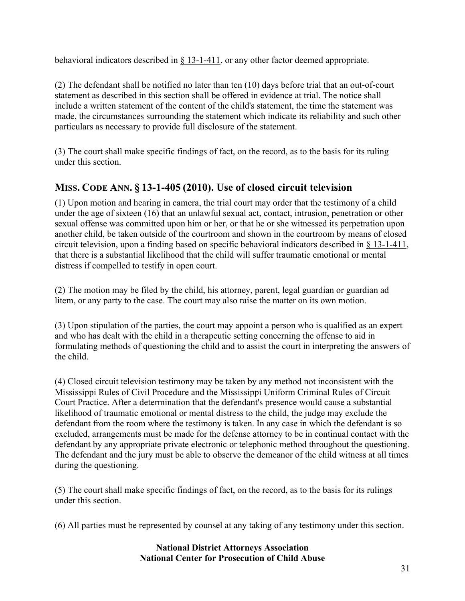behavioral indicators described in § 13-1-411, or any other factor deemed appropriate.

(2) The defendant shall be notified no later than ten (10) days before trial that an out-of-court statement as described in this section shall be offered in evidence at trial. The notice shall include a written statement of the content of the child's statement, the time the statement was made, the circumstances surrounding the statement which indicate its reliability and such other particulars as necessary to provide full disclosure of the statement.

(3) The court shall make specific findings of fact, on the record, as to the basis for its ruling under this section.

### **MISS. CODE ANN. § 13-1-405 (2010). Use of closed circuit television**

(1) Upon motion and hearing in camera, the trial court may order that the testimony of a child under the age of sixteen (16) that an unlawful sexual act, contact, intrusion, penetration or other sexual offense was committed upon him or her, or that he or she witnessed its perpetration upon another child, be taken outside of the courtroom and shown in the courtroom by means of closed circuit television, upon a finding based on specific behavioral indicators described in § 13-1-411, that there is a substantial likelihood that the child will suffer traumatic emotional or mental distress if compelled to testify in open court.

(2) The motion may be filed by the child, his attorney, parent, legal guardian or guardian ad litem, or any party to the case. The court may also raise the matter on its own motion.

(3) Upon stipulation of the parties, the court may appoint a person who is qualified as an expert and who has dealt with the child in a therapeutic setting concerning the offense to aid in formulating methods of questioning the child and to assist the court in interpreting the answers of the child.

(4) Closed circuit television testimony may be taken by any method not inconsistent with the Mississippi Rules of Civil Procedure and the Mississippi Uniform Criminal Rules of Circuit Court Practice. After a determination that the defendant's presence would cause a substantial likelihood of traumatic emotional or mental distress to the child, the judge may exclude the defendant from the room where the testimony is taken. In any case in which the defendant is so excluded, arrangements must be made for the defense attorney to be in continual contact with the defendant by any appropriate private electronic or telephonic method throughout the questioning. The defendant and the jury must be able to observe the demeanor of the child witness at all times during the questioning.

(5) The court shall make specific findings of fact, on the record, as to the basis for its rulings under this section.

(6) All parties must be represented by counsel at any taking of any testimony under this section.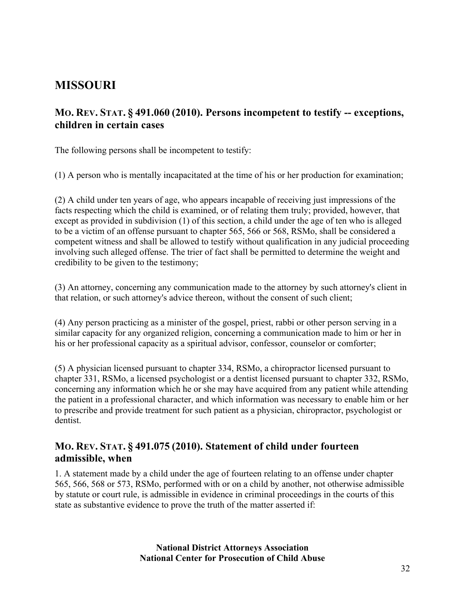### **MISSOURI**

#### **MO. REV. STAT. § 491.060 (2010). Persons incompetent to testify -- exceptions, children in certain cases**

The following persons shall be incompetent to testify:

(1) A person who is mentally incapacitated at the time of his or her production for examination;

(2) A child under ten years of age, who appears incapable of receiving just impressions of the facts respecting which the child is examined, or of relating them truly; provided, however, that except as provided in subdivision (1) of this section, a child under the age of ten who is alleged to be a victim of an offense pursuant to chapter 565, 566 or 568, RSMo, shall be considered a competent witness and shall be allowed to testify without qualification in any judicial proceeding involving such alleged offense. The trier of fact shall be permitted to determine the weight and credibility to be given to the testimony;

(3) An attorney, concerning any communication made to the attorney by such attorney's client in that relation, or such attorney's advice thereon, without the consent of such client;

(4) Any person practicing as a minister of the gospel, priest, rabbi or other person serving in a similar capacity for any organized religion, concerning a communication made to him or her in his or her professional capacity as a spiritual advisor, confessor, counselor or comforter;

(5) A physician licensed pursuant to chapter 334, RSMo, a chiropractor licensed pursuant to chapter 331, RSMo, a licensed psychologist or a dentist licensed pursuant to chapter 332, RSMo, concerning any information which he or she may have acquired from any patient while attending the patient in a professional character, and which information was necessary to enable him or her to prescribe and provide treatment for such patient as a physician, chiropractor, psychologist or dentist.

#### **MO. REV. STAT. § 491.075 (2010). Statement of child under fourteen admissible, when**

1. A statement made by a child under the age of fourteen relating to an offense under chapter 565, 566, 568 or 573, RSMo, performed with or on a child by another, not otherwise admissible by statute or court rule, is admissible in evidence in criminal proceedings in the courts of this state as substantive evidence to prove the truth of the matter asserted if: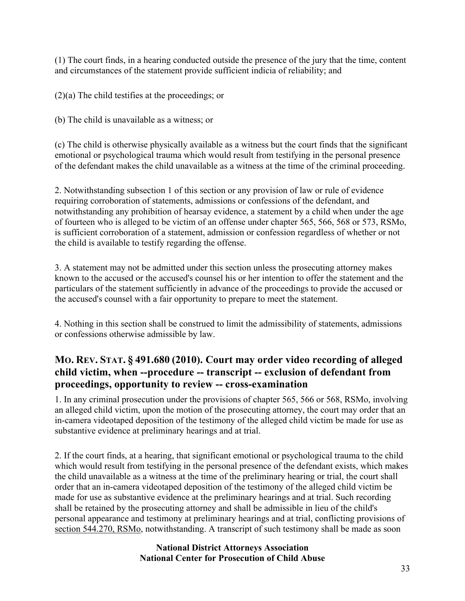(1) The court finds, in a hearing conducted outside the presence of the jury that the time, content and circumstances of the statement provide sufficient indicia of reliability; and

(2)(a) The child testifies at the proceedings; or

(b) The child is unavailable as a witness; or

(c) The child is otherwise physically available as a witness but the court finds that the significant emotional or psychological trauma which would result from testifying in the personal presence of the defendant makes the child unavailable as a witness at the time of the criminal proceeding.

2. Notwithstanding subsection 1 of this section or any provision of law or rule of evidence requiring corroboration of statements, admissions or confessions of the defendant, and notwithstanding any prohibition of hearsay evidence, a statement by a child when under the age of fourteen who is alleged to be victim of an offense under chapter 565, 566, 568 or 573, RSMo, is sufficient corroboration of a statement, admission or confession regardless of whether or not the child is available to testify regarding the offense.

3. A statement may not be admitted under this section unless the prosecuting attorney makes known to the accused or the accused's counsel his or her intention to offer the statement and the particulars of the statement sufficiently in advance of the proceedings to provide the accused or the accused's counsel with a fair opportunity to prepare to meet the statement.

4. Nothing in this section shall be construed to limit the admissibility of statements, admissions or confessions otherwise admissible by law.

### **MO. REV. STAT. § 491.680 (2010). Court may order video recording of alleged child victim, when --procedure -- transcript -- exclusion of defendant from proceedings, opportunity to review -- cross-examination**

1. In any criminal prosecution under the provisions of chapter 565, 566 or 568, RSMo, involving an alleged child victim, upon the motion of the prosecuting attorney, the court may order that an in-camera videotaped deposition of the testimony of the alleged child victim be made for use as substantive evidence at preliminary hearings and at trial.

2. If the court finds, at a hearing, that significant emotional or psychological trauma to the child which would result from testifying in the personal presence of the defendant exists, which makes the child unavailable as a witness at the time of the preliminary hearing or trial, the court shall order that an in-camera videotaped deposition of the testimony of the alleged child victim be made for use as substantive evidence at the preliminary hearings and at trial. Such recording shall be retained by the prosecuting attorney and shall be admissible in lieu of the child's personal appearance and testimony at preliminary hearings and at trial, conflicting provisions of section 544.270, RSMo, notwithstanding. A transcript of such testimony shall be made as soon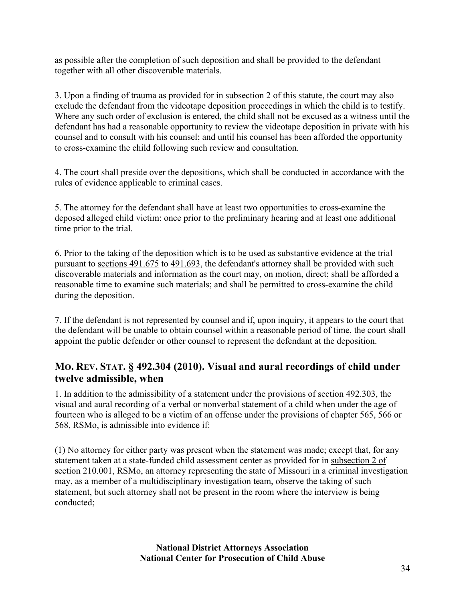as possible after the completion of such deposition and shall be provided to the defendant together with all other discoverable materials.

3. Upon a finding of trauma as provided for in subsection 2 of this statute, the court may also exclude the defendant from the videotape deposition proceedings in which the child is to testify. Where any such order of exclusion is entered, the child shall not be excused as a witness until the defendant has had a reasonable opportunity to review the videotape deposition in private with his counsel and to consult with his counsel; and until his counsel has been afforded the opportunity to cross-examine the child following such review and consultation.

4. The court shall preside over the depositions, which shall be conducted in accordance with the rules of evidence applicable to criminal cases.

5. The attorney for the defendant shall have at least two opportunities to cross-examine the deposed alleged child victim: once prior to the preliminary hearing and at least one additional time prior to the trial.

6. Prior to the taking of the deposition which is to be used as substantive evidence at the trial pursuant to sections 491.675 to 491.693, the defendant's attorney shall be provided with such discoverable materials and information as the court may, on motion, direct; shall be afforded a reasonable time to examine such materials; and shall be permitted to cross-examine the child during the deposition.

7. If the defendant is not represented by counsel and if, upon inquiry, it appears to the court that the defendant will be unable to obtain counsel within a reasonable period of time, the court shall appoint the public defender or other counsel to represent the defendant at the deposition.

#### **MO. REV. STAT. § 492.304 (2010). Visual and aural recordings of child under twelve admissible, when**

1. In addition to the admissibility of a statement under the provisions of section 492.303, the visual and aural recording of a verbal or nonverbal statement of a child when under the age of fourteen who is alleged to be a victim of an offense under the provisions of chapter 565, 566 or 568, RSMo, is admissible into evidence if:

(1) No attorney for either party was present when the statement was made; except that, for any statement taken at a state-funded child assessment center as provided for in subsection 2 of section 210.001, RSMo, an attorney representing the state of Missouri in a criminal investigation may, as a member of a multidisciplinary investigation team, observe the taking of such statement, but such attorney shall not be present in the room where the interview is being conducted;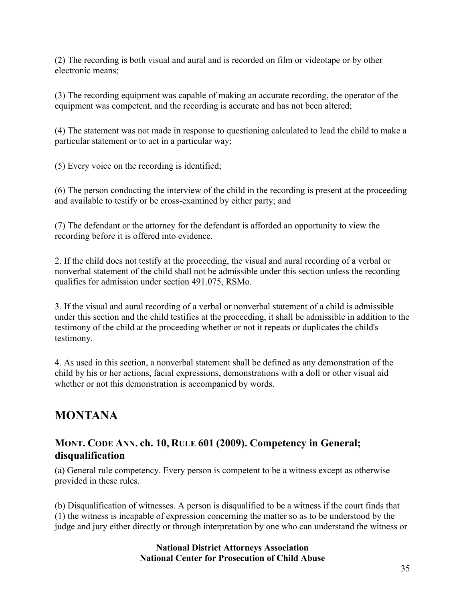(2) The recording is both visual and aural and is recorded on film or videotape or by other electronic means;

(3) The recording equipment was capable of making an accurate recording, the operator of the equipment was competent, and the recording is accurate and has not been altered;

(4) The statement was not made in response to questioning calculated to lead the child to make a particular statement or to act in a particular way;

(5) Every voice on the recording is identified;

(6) The person conducting the interview of the child in the recording is present at the proceeding and available to testify or be cross-examined by either party; and

(7) The defendant or the attorney for the defendant is afforded an opportunity to view the recording before it is offered into evidence.

2. If the child does not testify at the proceeding, the visual and aural recording of a verbal or nonverbal statement of the child shall not be admissible under this section unless the recording qualifies for admission under section 491.075, RSMo.

3. If the visual and aural recording of a verbal or nonverbal statement of a child is admissible under this section and the child testifies at the proceeding, it shall be admissible in addition to the testimony of the child at the proceeding whether or not it repeats or duplicates the child's testimony.

4. As used in this section, a nonverbal statement shall be defined as any demonstration of the child by his or her actions, facial expressions, demonstrations with a doll or other visual aid whether or not this demonstration is accompanied by words.

# **MONTANA**

#### **MONT. CODE ANN. ch. 10, RULE 601 (2009). Competency in General; disqualification**

(a) General rule competency. Every person is competent to be a witness except as otherwise provided in these rules.

(b) Disqualification of witnesses. A person is disqualified to be a witness if the court finds that (1) the witness is incapable of expression concerning the matter so as to be understood by the judge and jury either directly or through interpretation by one who can understand the witness or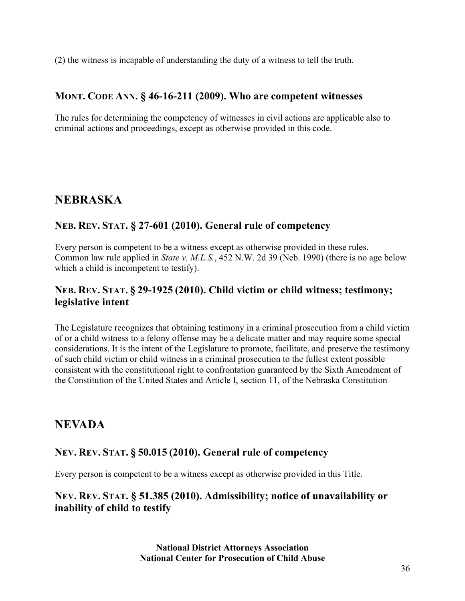(2) the witness is incapable of understanding the duty of a witness to tell the truth.

#### **MONT. CODE ANN. § 46-16-211 (2009). Who are competent witnesses**

The rules for determining the competency of witnesses in civil actions are applicable also to criminal actions and proceedings, except as otherwise provided in this code.

### **NEBRASKA**

#### **NEB. REV. STAT. § 27-601 (2010). General rule of competency**

Every person is competent to be a witness except as otherwise provided in these rules. Common law rule applied in *State v. M.L.S.*, 452 N.W. 2d 39 (Neb. 1990) (there is no age below which a child is incompetent to testify).

#### **NEB. REV. STAT. § 29-1925 (2010). Child victim or child witness; testimony; legislative intent**

The Legislature recognizes that obtaining testimony in a criminal prosecution from a child victim of or a child witness to a felony offense may be a delicate matter and may require some special considerations. It is the intent of the Legislature to promote, facilitate, and preserve the testimony of such child victim or child witness in a criminal prosecution to the fullest extent possible consistent with the constitutional right to confrontation guaranteed by the Sixth Amendment of the Constitution of the United States and Article I, section 11, of the Nebraska Constitution

### **NEVADA**

#### **NEV. REV. STAT. § 50.015 (2010). General rule of competency**

Every person is competent to be a witness except as otherwise provided in this Title.

#### **NEV. REV. STAT. § 51.385 (2010). Admissibility; notice of unavailability or inability of child to testify**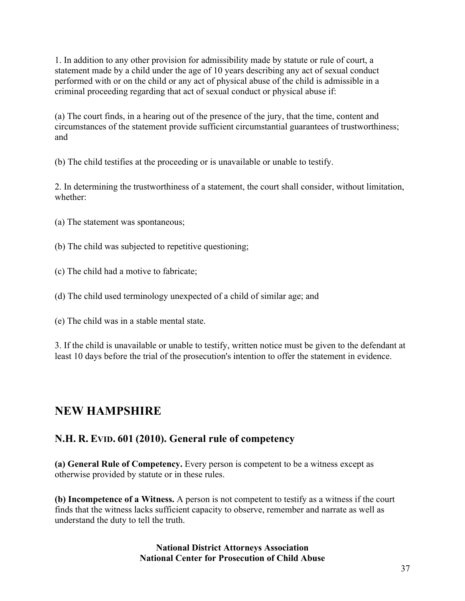1. In addition to any other provision for admissibility made by statute or rule of court, a statement made by a child under the age of 10 years describing any act of sexual conduct performed with or on the child or any act of physical abuse of the child is admissible in a criminal proceeding regarding that act of sexual conduct or physical abuse if:

(a) The court finds, in a hearing out of the presence of the jury, that the time, content and circumstances of the statement provide sufficient circumstantial guarantees of trustworthiness; and

(b) The child testifies at the proceeding or is unavailable or unable to testify.

2. In determining the trustworthiness of a statement, the court shall consider, without limitation, whether:

- (a) The statement was spontaneous;
- (b) The child was subjected to repetitive questioning;
- (c) The child had a motive to fabricate;
- (d) The child used terminology unexpected of a child of similar age; and
- (e) The child was in a stable mental state.

3. If the child is unavailable or unable to testify, written notice must be given to the defendant at least 10 days before the trial of the prosecution's intention to offer the statement in evidence.

### **NEW HAMPSHIRE**

#### **N.H. R. EVID. 601 (2010). General rule of competency**

**(a) General Rule of Competency.** Every person is competent to be a witness except as otherwise provided by statute or in these rules.

**(b) Incompetence of a Witness.** A person is not competent to testify as a witness if the court finds that the witness lacks sufficient capacity to observe, remember and narrate as well as understand the duty to tell the truth.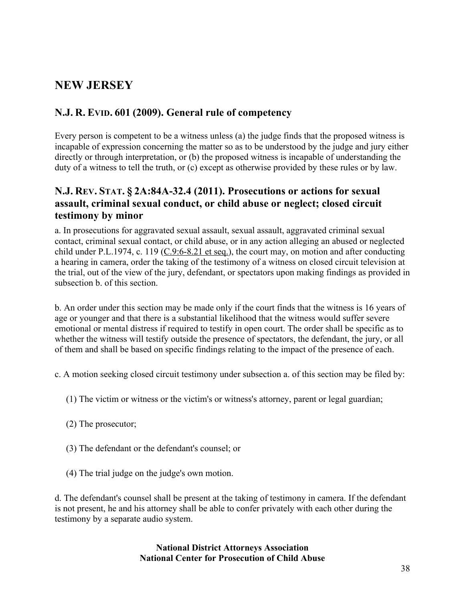# **NEW JERSEY**

### **N.J. R. EVID. 601 (2009). General rule of competency**

Every person is competent to be a witness unless (a) the judge finds that the proposed witness is incapable of expression concerning the matter so as to be understood by the judge and jury either directly or through interpretation, or (b) the proposed witness is incapable of understanding the duty of a witness to tell the truth, or (c) except as otherwise provided by these rules or by law.

#### **N.J. REV. STAT. § 2A:84A-32.4 (2011). Prosecutions or actions for sexual assault, criminal sexual conduct, or child abuse or neglect; closed circuit testimony by minor**

a. In prosecutions for aggravated sexual assault, sexual assault, aggravated criminal sexual contact, criminal sexual contact, or child abuse, or in any action alleging an abused or neglected child under P.L.1974, c. 119 (C.9:6-8.21 et seq.), the court may, on motion and after conducting a hearing in camera, order the taking of the testimony of a witness on closed circuit television at the trial, out of the view of the jury, defendant, or spectators upon making findings as provided in subsection b. of this section.

b. An order under this section may be made only if the court finds that the witness is 16 years of age or younger and that there is a substantial likelihood that the witness would suffer severe emotional or mental distress if required to testify in open court. The order shall be specific as to whether the witness will testify outside the presence of spectators, the defendant, the jury, or all of them and shall be based on specific findings relating to the impact of the presence of each.

c. A motion seeking closed circuit testimony under subsection a. of this section may be filed by:

- (1) The victim or witness or the victim's or witness's attorney, parent or legal guardian;
- (2) The prosecutor;
- (3) The defendant or the defendant's counsel; or
- (4) The trial judge on the judge's own motion.

d. The defendant's counsel shall be present at the taking of testimony in camera. If the defendant is not present, he and his attorney shall be able to confer privately with each other during the testimony by a separate audio system.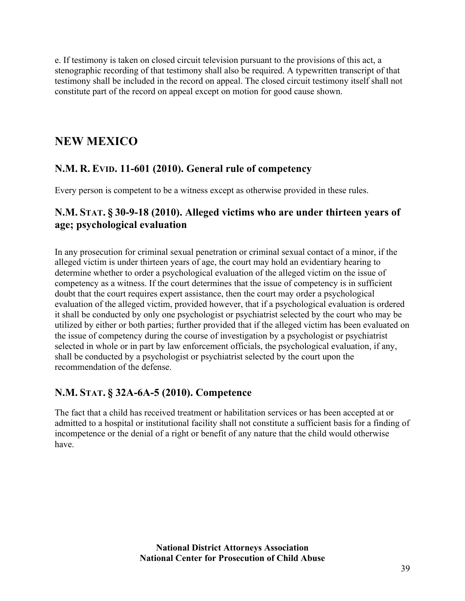e. If testimony is taken on closed circuit television pursuant to the provisions of this act, a stenographic recording of that testimony shall also be required. A typewritten transcript of that testimony shall be included in the record on appeal. The closed circuit testimony itself shall not constitute part of the record on appeal except on motion for good cause shown.

### **NEW MEXICO**

#### **N.M. R. EVID. 11-601 (2010). General rule of competency**

Every person is competent to be a witness except as otherwise provided in these rules.

### **N.M. STAT. § 30-9-18 (2010). Alleged victims who are under thirteen years of age; psychological evaluation**

In any prosecution for criminal sexual penetration or criminal sexual contact of a minor, if the alleged victim is under thirteen years of age, the court may hold an evidentiary hearing to determine whether to order a psychological evaluation of the alleged victim on the issue of competency as a witness. If the court determines that the issue of competency is in sufficient doubt that the court requires expert assistance, then the court may order a psychological evaluation of the alleged victim, provided however, that if a psychological evaluation is ordered it shall be conducted by only one psychologist or psychiatrist selected by the court who may be utilized by either or both parties; further provided that if the alleged victim has been evaluated on the issue of competency during the course of investigation by a psychologist or psychiatrist selected in whole or in part by law enforcement officials, the psychological evaluation, if any, shall be conducted by a psychologist or psychiatrist selected by the court upon the recommendation of the defense.

#### **N.M. STAT. § 32A-6A-5 (2010). Competence**

The fact that a child has received treatment or habilitation services or has been accepted at or admitted to a hospital or institutional facility shall not constitute a sufficient basis for a finding of incompetence or the denial of a right or benefit of any nature that the child would otherwise have.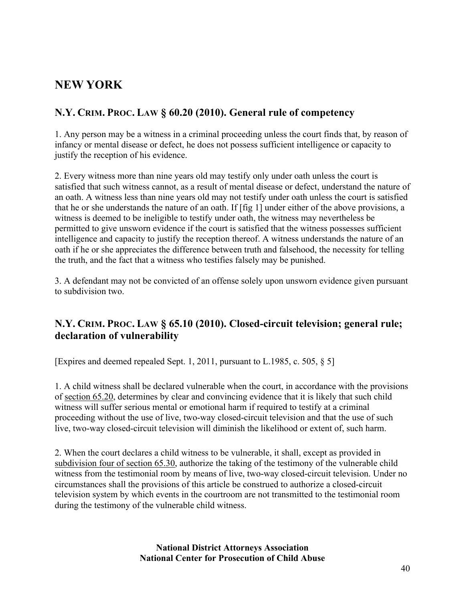# **NEW YORK**

#### **N.Y. CRIM. PROC. LAW § 60.20 (2010). General rule of competency**

1. Any person may be a witness in a criminal proceeding unless the court finds that, by reason of infancy or mental disease or defect, he does not possess sufficient intelligence or capacity to justify the reception of his evidence.

2. Every witness more than nine years old may testify only under oath unless the court is satisfied that such witness cannot, as a result of mental disease or defect, understand the nature of an oath. A witness less than nine years old may not testify under oath unless the court is satisfied that he or she understands the nature of an oath. If [fig 1] under either of the above provisions, a witness is deemed to be ineligible to testify under oath, the witness may nevertheless be permitted to give unsworn evidence if the court is satisfied that the witness possesses sufficient intelligence and capacity to justify the reception thereof. A witness understands the nature of an oath if he or she appreciates the difference between truth and falsehood, the necessity for telling the truth, and the fact that a witness who testifies falsely may be punished.

3. A defendant may not be convicted of an offense solely upon unsworn evidence given pursuant to subdivision two.

#### **N.Y. CRIM. PROC. LAW § 65.10 (2010). Closed-circuit television; general rule; declaration of vulnerability**

[Expires and deemed repealed Sept. 1, 2011, pursuant to L.1985, c. 505, § 5]

1. A child witness shall be declared vulnerable when the court, in accordance with the provisions of section 65.20, determines by clear and convincing evidence that it is likely that such child witness will suffer serious mental or emotional harm if required to testify at a criminal proceeding without the use of live, two-way closed-circuit television and that the use of such live, two-way closed-circuit television will diminish the likelihood or extent of, such harm.

2. When the court declares a child witness to be vulnerable, it shall, except as provided in subdivision four of section 65.30, authorize the taking of the testimony of the vulnerable child witness from the testimonial room by means of live, two-way closed-circuit television. Under no circumstances shall the provisions of this article be construed to authorize a closed-circuit television system by which events in the courtroom are not transmitted to the testimonial room during the testimony of the vulnerable child witness.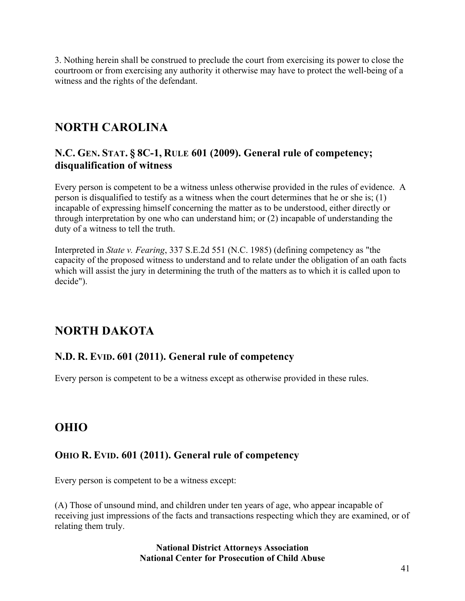3. Nothing herein shall be construed to preclude the court from exercising its power to close the courtroom or from exercising any authority it otherwise may have to protect the well-being of a witness and the rights of the defendant.

### **NORTH CAROLINA**

#### **N.C. GEN. STAT. § 8C-1, RULE 601 (2009). General rule of competency; disqualification of witness**

Every person is competent to be a witness unless otherwise provided in the rules of evidence. A person is disqualified to testify as a witness when the court determines that he or she is; (1) incapable of expressing himself concerning the matter as to be understood, either directly or through interpretation by one who can understand him; or (2) incapable of understanding the duty of a witness to tell the truth.

Interpreted in *State v. Fearing*, 337 S.E.2d 551 (N.C. 1985) (defining competency as "the capacity of the proposed witness to understand and to relate under the obligation of an oath facts which will assist the jury in determining the truth of the matters as to which it is called upon to decide").

### **NORTH DAKOTA**

#### **N.D. R. EVID. 601 (2011). General rule of competency**

Every person is competent to be a witness except as otherwise provided in these rules.

### **OHIO**

#### **OHIO R. EVID. 601 (2011). General rule of competency**

Every person is competent to be a witness except:

(A) Those of unsound mind, and children under ten years of age, who appear incapable of receiving just impressions of the facts and transactions respecting which they are examined, or of relating them truly.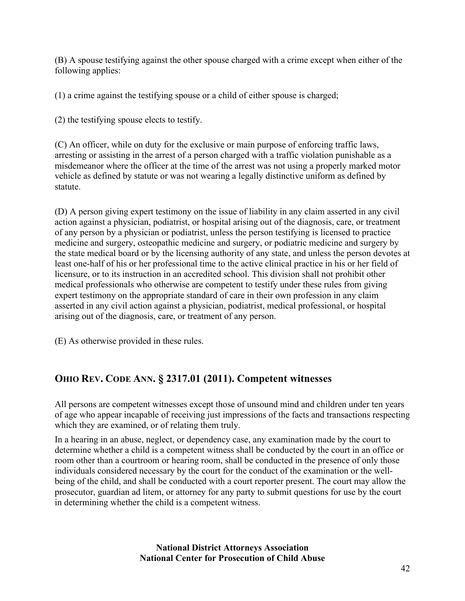(B) A spouse testifying against the other spouse charged with a crime except when either of the following applies:

(1) a crime against the testifying spouse or a child of either spouse is charged;

(2) the testifying spouse elects to testify.

(C) An officer, while on duty for the exclusive or main purpose of enforcing traffic laws, arresting or assisting in the arrest of a person charged with a traffic violation punishable as a misdemeanor where the officer at the time of the arrest was not using a properly marked motor vehicle as defined by statute or was not wearing a legally distinctive uniform as defined by statute.

(D) A person giving expert testimony on the issue of liability in any claim asserted in any civil action against a physician, podiatrist, or hospital arising out of the diagnosis, care, or treatment of any person by a physician or podiatrist, unless the person testifying is licensed to practice medicine and surgery, osteopathic medicine and surgery, or podiatric medicine and surgery by the state medical board or by the licensing authority of any state, and unless the person devotes at least one-half of his or her professional time to the active clinical practice in his or her field of licensure, or to its instruction in an accredited school. This division shall not prohibit other medical professionals who otherwise are competent to testify under these rules from giving expert testimony on the appropriate standard of care in their own profession in any claim asserted in any civil action against a physician, podiatrist, medical professional, or hospital arising out of the diagnosis, care, or treatment of any person.

(E) As otherwise provided in these rules.

### **OHIO REV. CODE ANN. § 2317.01 (2011). Competent witnesses**

All persons are competent witnesses except those of unsound mind and children under ten years of age who appear incapable of receiving just impressions of the facts and transactions respecting which they are examined, or of relating them truly.

In a hearing in an abuse, neglect, or dependency case, any examination made by the court to determine whether a child is a competent witness shall be conducted by the court in an office or room other than a courtroom or hearing room, shall be conducted in the presence of only those individuals considered necessary by the court for the conduct of the examination or the wellbeing of the child, and shall be conducted with a court reporter present. The court may allow the prosecutor, guardian ad litem, or attorney for any party to submit questions for use by the court in determining whether the child is a competent witness.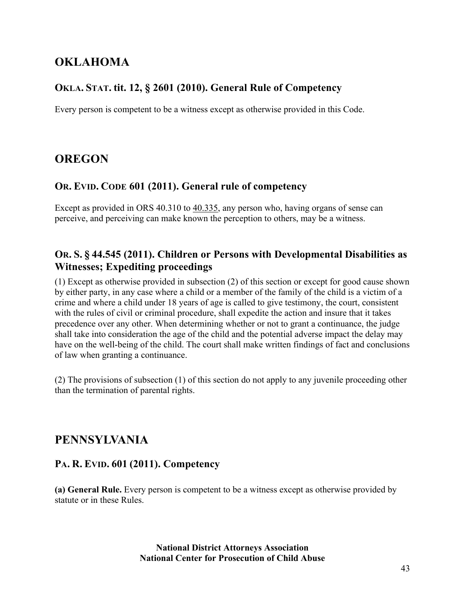# **OKLAHOMA**

#### **OKLA. STAT. tit. 12, § 2601 (2010). General Rule of Competency**

Every person is competent to be a witness except as otherwise provided in this Code.

### **OREGON**

#### **OR. EVID. CODE 601 (2011). General rule of competency**

Except as provided in ORS 40.310 to 40.335, any person who, having organs of sense can perceive, and perceiving can make known the perception to others, may be a witness.

#### **OR. S. § 44.545 (2011). Children or Persons with Developmental Disabilities as Witnesses; Expediting proceedings**

(1) Except as otherwise provided in subsection (2) of this section or except for good cause shown by either party, in any case where a child or a member of the family of the child is a victim of a crime and where a child under 18 years of age is called to give testimony, the court, consistent with the rules of civil or criminal procedure, shall expedite the action and insure that it takes precedence over any other. When determining whether or not to grant a continuance, the judge shall take into consideration the age of the child and the potential adverse impact the delay may have on the well-being of the child. The court shall make written findings of fact and conclusions of law when granting a continuance.

(2) The provisions of subsection (1) of this section do not apply to any juvenile proceeding other than the termination of parental rights.

### **PENNSYLVANIA**

#### **PA. R. EVID. 601 (2011). Competency**

**(a) General Rule.** Every person is competent to be a witness except as otherwise provided by statute or in these Rules.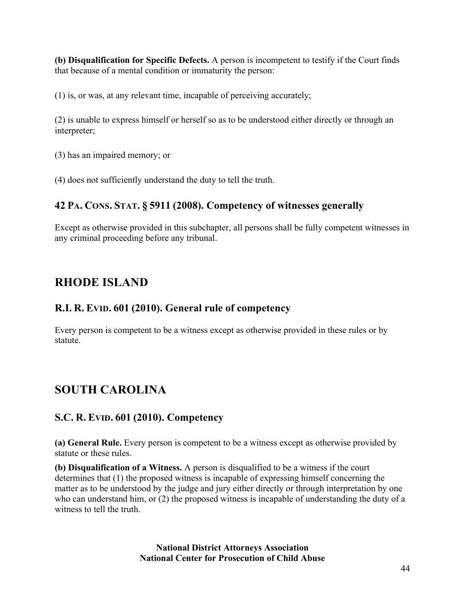**(b) Disqualification for Specific Defects.** A person is incompetent to testify if the Court finds that because of a mental condition or immaturity the person:

(1) is, or was, at any relevant time, incapable of perceiving accurately;

(2) is unable to express himself or herself so as to be understood either directly or through an interpreter;

(3) has an impaired memory; or

(4) does not sufficiently understand the duty to tell the truth.

### **42 PA. CONS. STAT. § 5911 (2008). Competency of witnesses generally**

Except as otherwise provided in this subchapter, all persons shall be fully competent witnesses in any criminal proceeding before any tribunal.

### **RHODE ISLAND**

### **R.I. R. EVID. 601 (2010). General rule of competency**

Every person is competent to be a witness except as otherwise provided in these rules or by statute.

### **SOUTH CAROLINA**

#### **S.C. R. EVID. 601 (2010). Competency**

**(a) General Rule.** Every person is competent to be a witness except as otherwise provided by statute or these rules.

**(b) Disqualification of a Witness.** A person is disqualified to be a witness if the court determines that (1) the proposed witness is incapable of expressing himself concerning the matter as to be understood by the judge and jury either directly or through interpretation by one who can understand him, or (2) the proposed witness is incapable of understanding the duty of a witness to tell the truth.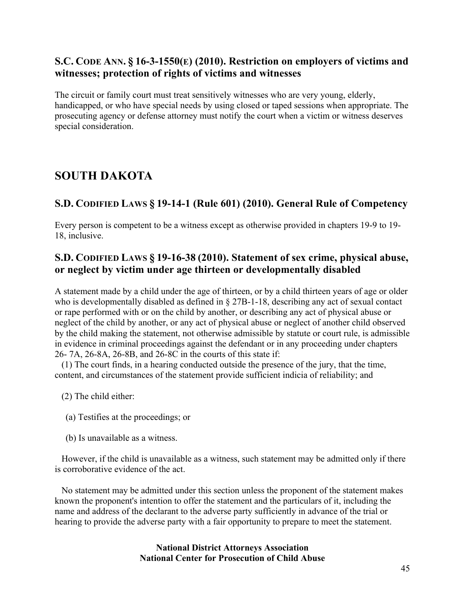### **S.C. CODE ANN. § 16-3-1550(E) (2010). Restriction on employers of victims and witnesses; protection of rights of victims and witnesses**

The circuit or family court must treat sensitively witnesses who are very young, elderly, handicapped, or who have special needs by using closed or taped sessions when appropriate. The prosecuting agency or defense attorney must notify the court when a victim or witness deserves special consideration.

# **SOUTH DAKOTA**

#### **S.D. CODIFIED LAWS § 19-14-1 (Rule 601) (2010). General Rule of Competency**

Every person is competent to be a witness except as otherwise provided in chapters 19-9 to 19- 18, inclusive.

#### **S.D. CODIFIED LAWS § 19-16-38 (2010). Statement of sex crime, physical abuse, or neglect by victim under age thirteen or developmentally disabled**

A statement made by a child under the age of thirteen, or by a child thirteen years of age or older who is developmentally disabled as defined in  $\S 27B-1-18$ , describing any act of sexual contact or rape performed with or on the child by another, or describing any act of physical abuse or neglect of the child by another, or any act of physical abuse or neglect of another child observed by the child making the statement, not otherwise admissible by statute or court rule, is admissible in evidence in criminal proceedings against the defendant or in any proceeding under chapters 26- 7A, 26-8A, 26-8B, and 26-8C in the courts of this state if:

(1) The court finds, in a hearing conducted outside the presence of the jury, that the time, content, and circumstances of the statement provide sufficient indicia of reliability; and

- (2) The child either:
- (a) Testifies at the proceedings; or
- (b) Is unavailable as a witness.

However, if the child is unavailable as a witness, such statement may be admitted only if there is corroborative evidence of the act.

No statement may be admitted under this section unless the proponent of the statement makes known the proponent's intention to offer the statement and the particulars of it, including the name and address of the declarant to the adverse party sufficiently in advance of the trial or hearing to provide the adverse party with a fair opportunity to prepare to meet the statement.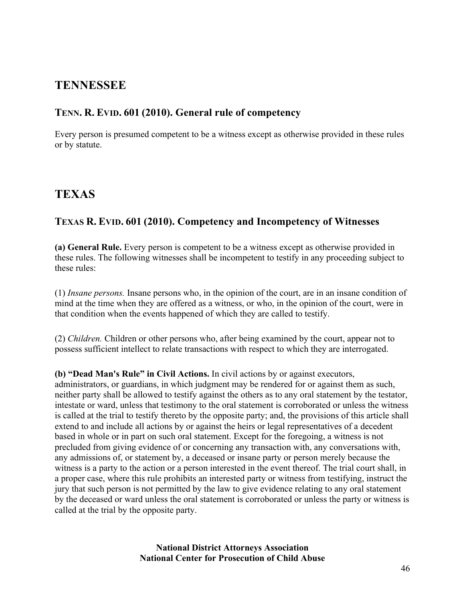### **TENNESSEE**

#### **TENN. R. EVID. 601 (2010). General rule of competency**

Every person is presumed competent to be a witness except as otherwise provided in these rules or by statute.

### **TEXAS**

#### **TEXAS R. EVID. 601 (2010). Competency and Incompetency of Witnesses**

**(a) General Rule.** Every person is competent to be a witness except as otherwise provided in these rules. The following witnesses shall be incompetent to testify in any proceeding subject to these rules:

(1) *Insane persons.* Insane persons who, in the opinion of the court, are in an insane condition of mind at the time when they are offered as a witness, or who, in the opinion of the court, were in that condition when the events happened of which they are called to testify.

(2) *Children.* Children or other persons who, after being examined by the court, appear not to possess sufficient intellect to relate transactions with respect to which they are interrogated.

**(b) "Dead Man's Rule" in Civil Actions.** In civil actions by or against executors, administrators, or guardians, in which judgment may be rendered for or against them as such, neither party shall be allowed to testify against the others as to any oral statement by the testator, intestate or ward, unless that testimony to the oral statement is corroborated or unless the witness is called at the trial to testify thereto by the opposite party; and, the provisions of this article shall extend to and include all actions by or against the heirs or legal representatives of a decedent based in whole or in part on such oral statement. Except for the foregoing, a witness is not precluded from giving evidence of or concerning any transaction with, any conversations with, any admissions of, or statement by, a deceased or insane party or person merely because the witness is a party to the action or a person interested in the event thereof. The trial court shall, in a proper case, where this rule prohibits an interested party or witness from testifying, instruct the jury that such person is not permitted by the law to give evidence relating to any oral statement by the deceased or ward unless the oral statement is corroborated or unless the party or witness is called at the trial by the opposite party.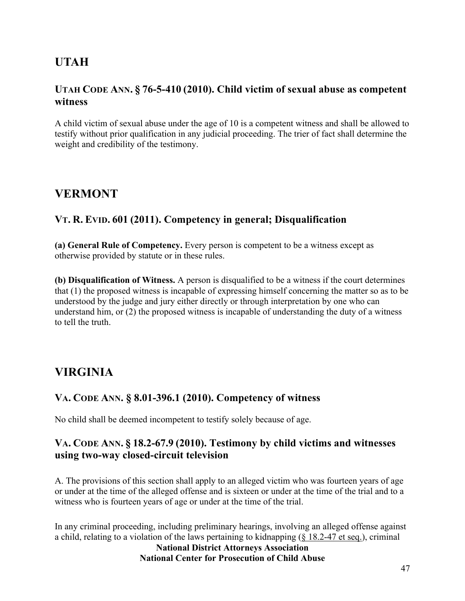# **UTAH**

#### **UTAH CODE ANN. § 76-5-410 (2010). Child victim of sexual abuse as competent witness**

A child victim of sexual abuse under the age of 10 is a competent witness and shall be allowed to testify without prior qualification in any judicial proceeding. The trier of fact shall determine the weight and credibility of the testimony.

### **VERMONT**

#### **VT. R. EVID. 601 (2011). Competency in general; Disqualification**

**(a) General Rule of Competency.** Every person is competent to be a witness except as otherwise provided by statute or in these rules.

**(b) Disqualification of Witness.** A person is disqualified to be a witness if the court determines that (1) the proposed witness is incapable of expressing himself concerning the matter so as to be understood by the judge and jury either directly or through interpretation by one who can understand him, or (2) the proposed witness is incapable of understanding the duty of a witness to tell the truth.

### **VIRGINIA**

### **VA. CODE ANN. § 8.01-396.1 (2010). Competency of witness**

No child shall be deemed incompetent to testify solely because of age.

#### **VA. CODE ANN. § 18.2-67.9 (2010). Testimony by child victims and witnesses using two-way closed-circuit television**

A. The provisions of this section shall apply to an alleged victim who was fourteen years of age or under at the time of the alleged offense and is sixteen or under at the time of the trial and to a witness who is fourteen years of age or under at the time of the trial.

In any criminal proceeding, including preliminary hearings, involving an alleged offense against a child, relating to a violation of the laws pertaining to kidnapping  $(\S 18.2-47 \text{ et seq.})$ , criminal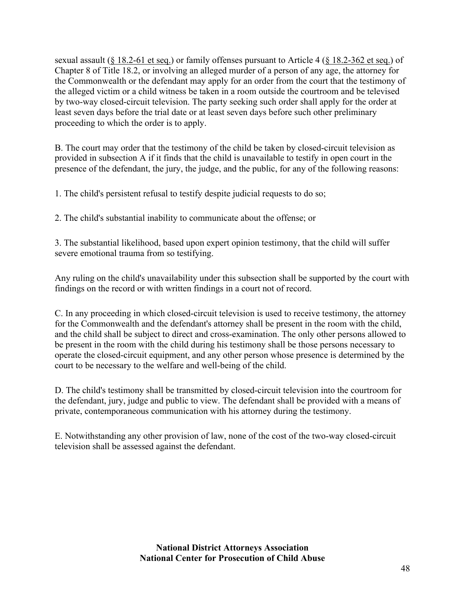sexual assault (§ 18.2-61 et seq.) or family offenses pursuant to Article 4 (§ 18.2-362 et seq.) of Chapter 8 of Title 18.2, or involving an alleged murder of a person of any age, the attorney for the Commonwealth or the defendant may apply for an order from the court that the testimony of the alleged victim or a child witness be taken in a room outside the courtroom and be televised by two-way closed-circuit television. The party seeking such order shall apply for the order at least seven days before the trial date or at least seven days before such other preliminary proceeding to which the order is to apply.

B. The court may order that the testimony of the child be taken by closed-circuit television as provided in subsection A if it finds that the child is unavailable to testify in open court in the presence of the defendant, the jury, the judge, and the public, for any of the following reasons:

1. The child's persistent refusal to testify despite judicial requests to do so;

2. The child's substantial inability to communicate about the offense; or

3. The substantial likelihood, based upon expert opinion testimony, that the child will suffer severe emotional trauma from so testifying.

Any ruling on the child's unavailability under this subsection shall be supported by the court with findings on the record or with written findings in a court not of record.

C. In any proceeding in which closed-circuit television is used to receive testimony, the attorney for the Commonwealth and the defendant's attorney shall be present in the room with the child, and the child shall be subject to direct and cross-examination. The only other persons allowed to be present in the room with the child during his testimony shall be those persons necessary to operate the closed-circuit equipment, and any other person whose presence is determined by the court to be necessary to the welfare and well-being of the child.

D. The child's testimony shall be transmitted by closed-circuit television into the courtroom for the defendant, jury, judge and public to view. The defendant shall be provided with a means of private, contemporaneous communication with his attorney during the testimony.

E. Notwithstanding any other provision of law, none of the cost of the two-way closed-circuit television shall be assessed against the defendant.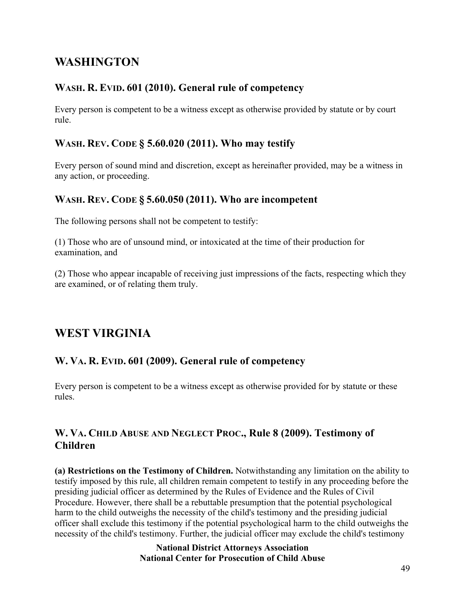# **WASHINGTON**

#### **WASH. R. EVID. 601 (2010). General rule of competency**

Every person is competent to be a witness except as otherwise provided by statute or by court rule.

#### **WASH. REV. CODE § 5.60.020 (2011). Who may testify**

Every person of sound mind and discretion, except as hereinafter provided, may be a witness in any action, or proceeding.

#### **WASH. REV. CODE § 5.60.050 (2011). Who are incompetent**

The following persons shall not be competent to testify:

(1) Those who are of unsound mind, or intoxicated at the time of their production for examination, and

(2) Those who appear incapable of receiving just impressions of the facts, respecting which they are examined, or of relating them truly.

### **WEST VIRGINIA**

#### **W. VA. R. EVID. 601 (2009). General rule of competency**

Every person is competent to be a witness except as otherwise provided for by statute or these rules.

#### **W. VA. CHILD ABUSE AND NEGLECT PROC., Rule 8 (2009). Testimony of Children**

**(a) Restrictions on the Testimony of Children.** Notwithstanding any limitation on the ability to testify imposed by this rule, all children remain competent to testify in any proceeding before the presiding judicial officer as determined by the Rules of Evidence and the Rules of Civil Procedure. However, there shall be a rebuttable presumption that the potential psychological harm to the child outweighs the necessity of the child's testimony and the presiding judicial officer shall exclude this testimony if the potential psychological harm to the child outweighs the necessity of the child's testimony. Further, the judicial officer may exclude the child's testimony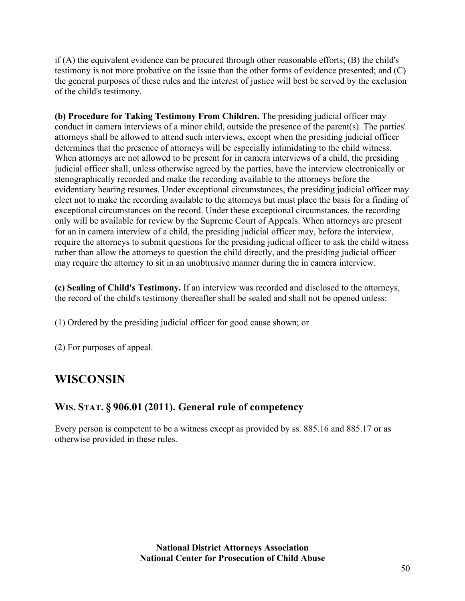if (A) the equivalent evidence can be procured through other reasonable efforts; (B) the child's testimony is not more probative on the issue than the other forms of evidence presented; and (C) the general purposes of these rules and the interest of justice will best be served by the exclusion of the child's testimony.

**(b) Procedure for Taking Testimony From Children.** The presiding judicial officer may conduct in camera interviews of a minor child, outside the presence of the parent(s). The parties' attorneys shall be allowed to attend such interviews, except when the presiding judicial officer determines that the presence of attorneys will be especially intimidating to the child witness. When attorneys are not allowed to be present for in camera interviews of a child, the presiding judicial officer shall, unless otherwise agreed by the parties, have the interview electronically or stenographically recorded and make the recording available to the attorneys before the evidentiary hearing resumes. Under exceptional circumstances, the presiding judicial officer may elect not to make the recording available to the attorneys but must place the basis for a finding of exceptional circumstances on the record. Under these exceptional circumstances, the recording only will be available for review by the Supreme Court of Appeals. When attorneys are present for an in camera interview of a child, the presiding judicial officer may, before the interview, require the attorneys to submit questions for the presiding judicial officer to ask the child witness rather than allow the attorneys to question the child directly, and the presiding judicial officer may require the attorney to sit in an unobtrusive manner during the in camera interview.

**(c) Sealing of Child's Testimony.** If an interview was recorded and disclosed to the attorneys, the record of the child's testimony thereafter shall be sealed and shall not be opened unless:

(1) Ordered by the presiding judicial officer for good cause shown; or

(2) For purposes of appeal.

### **WISCONSIN**

#### **WIS. STAT. § 906.01 (2011). General rule of competency**

Every person is competent to be a witness except as provided by ss. 885.16 and 885.17 or as otherwise provided in these rules.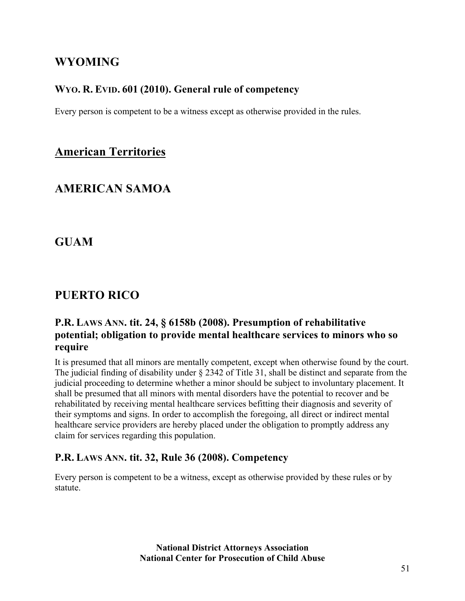### **WYOMING**

### **WYO. R. EVID. 601 (2010). General rule of competency**

Every person is competent to be a witness except as otherwise provided in the rules.

### **American Territories**

### **AMERICAN SAMOA**

**GUAM**

# **PUERTO RICO**

#### **P.R. LAWS ANN. tit. 24, § 6158b (2008). Presumption of rehabilitative potential; obligation to provide mental healthcare services to minors who so require**

It is presumed that all minors are mentally competent, except when otherwise found by the court. The judicial finding of disability under § 2342 of Title 31, shall be distinct and separate from the judicial proceeding to determine whether a minor should be subject to involuntary placement. It shall be presumed that all minors with mental disorders have the potential to recover and be rehabilitated by receiving mental healthcare services befitting their diagnosis and severity of their symptoms and signs. In order to accomplish the foregoing, all direct or indirect mental healthcare service providers are hereby placed under the obligation to promptly address any claim for services regarding this population.

### **P.R. LAWS ANN. tit. 32, Rule 36 (2008). Competency**

Every person is competent to be a witness, except as otherwise provided by these rules or by statute.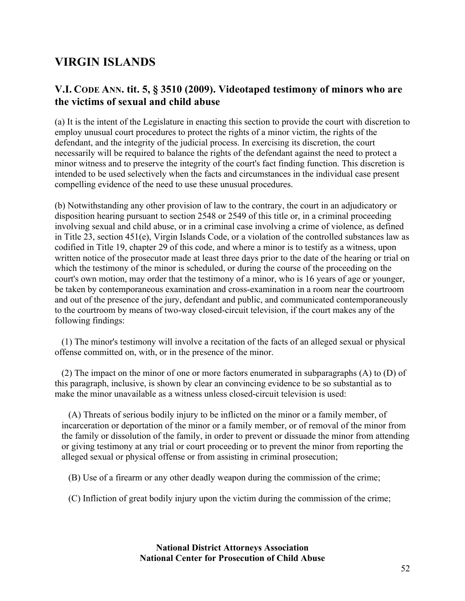# **VIRGIN ISLANDS**

#### **V.I. CODE ANN. tit. 5, § 3510 (2009). Videotaped testimony of minors who are the victims of sexual and child abuse**

(a) It is the intent of the Legislature in enacting this section to provide the court with discretion to employ unusual court procedures to protect the rights of a minor victim, the rights of the defendant, and the integrity of the judicial process. In exercising its discretion, the court necessarily will be required to balance the rights of the defendant against the need to protect a minor witness and to preserve the integrity of the court's fact finding function. This discretion is intended to be used selectively when the facts and circumstances in the individual case present compelling evidence of the need to use these unusual procedures.

(b) Notwithstanding any other provision of law to the contrary, the court in an adjudicatory or disposition hearing pursuant to section 2548 or 2549 of this title or, in a criminal proceeding involving sexual and child abuse, or in a criminal case involving a crime of violence, as defined in Title 23, section 451(e), Virgin Islands Code, or a violation of the controlled substances law as codified in Title 19, chapter 29 of this code, and where a minor is to testify as a witness, upon written notice of the prosecutor made at least three days prior to the date of the hearing or trial on which the testimony of the minor is scheduled, or during the course of the proceeding on the court's own motion, may order that the testimony of a minor, who is 16 years of age or younger, be taken by contemporaneous examination and cross-examination in a room near the courtroom and out of the presence of the jury, defendant and public, and communicated contemporaneously to the courtroom by means of two-way closed-circuit television, if the court makes any of the following findings:

(1) The minor's testimony will involve a recitation of the facts of an alleged sexual or physical offense committed on, with, or in the presence of the minor.

(2) The impact on the minor of one or more factors enumerated in subparagraphs (A) to (D) of this paragraph, inclusive, is shown by clear an convincing evidence to be so substantial as to make the minor unavailable as a witness unless closed-circuit television is used:

(A) Threats of serious bodily injury to be inflicted on the minor or a family member, of incarceration or deportation of the minor or a family member, or of removal of the minor from the family or dissolution of the family, in order to prevent or dissuade the minor from attending or giving testimony at any trial or court proceeding or to prevent the minor from reporting the alleged sexual or physical offense or from assisting in criminal prosecution;

(B) Use of a firearm or any other deadly weapon during the commission of the crime;

(C) Infliction of great bodily injury upon the victim during the commission of the crime;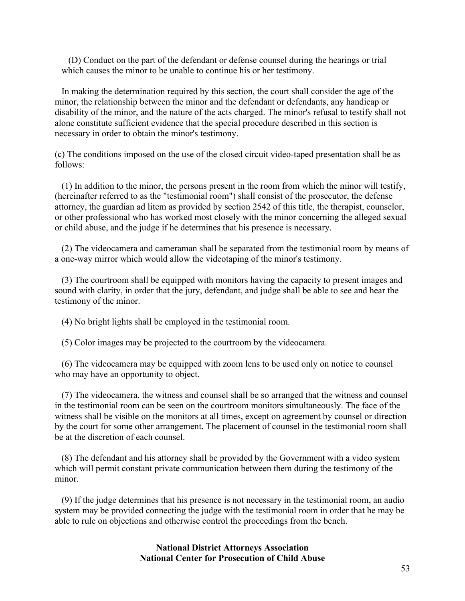(D) Conduct on the part of the defendant or defense counsel during the hearings or trial which causes the minor to be unable to continue his or her testimony.

In making the determination required by this section, the court shall consider the age of the minor, the relationship between the minor and the defendant or defendants, any handicap or disability of the minor, and the nature of the acts charged. The minor's refusal to testify shall not alone constitute sufficient evidence that the special procedure described in this section is necessary in order to obtain the minor's testimony.

(c) The conditions imposed on the use of the closed circuit video-taped presentation shall be as follows:

(1) In addition to the minor, the persons present in the room from which the minor will testify, (hereinafter referred to as the "testimonial room") shall consist of the prosecutor, the defense attorney, the guardian ad litem as provided by section 2542 of this title, the therapist, counselor, or other professional who has worked most closely with the minor concerning the alleged sexual or child abuse, and the judge if he determines that his presence is necessary.

(2) The videocamera and cameraman shall be separated from the testimonial room by means of a one-way mirror which would allow the videotaping of the minor's testimony.

(3) The courtroom shall be equipped with monitors having the capacity to present images and sound with clarity, in order that the jury, defendant, and judge shall be able to see and hear the testimony of the minor.

(4) No bright lights shall be employed in the testimonial room.

(5) Color images may be projected to the courtroom by the videocamera.

(6) The videocamera may be equipped with zoom lens to be used only on notice to counsel who may have an opportunity to object.

(7) The videocamera, the witness and counsel shall be so arranged that the witness and counsel in the testimonial room can be seen on the courtroom monitors simultaneously. The face of the witness shall be visible on the monitors at all times, except on agreement by counsel or direction by the court for some other arrangement. The placement of counsel in the testimonial room shall be at the discretion of each counsel.

(8) The defendant and his attorney shall be provided by the Government with a video system which will permit constant private communication between them during the testimony of the minor.

(9) If the judge determines that his presence is not necessary in the testimonial room, an audio system may be provided connecting the judge with the testimonial room in order that he may be able to rule on objections and otherwise control the proceedings from the bench.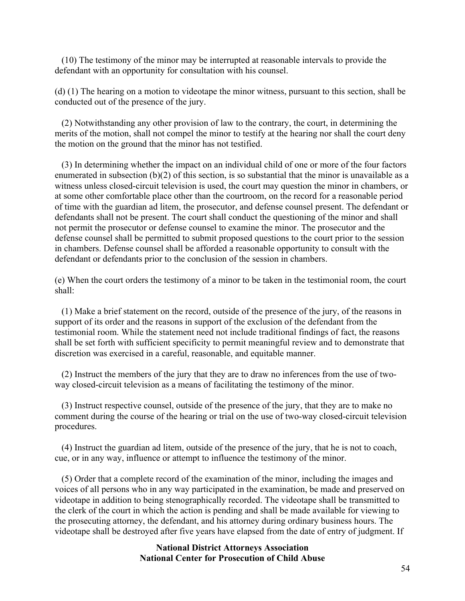(10) The testimony of the minor may be interrupted at reasonable intervals to provide the defendant with an opportunity for consultation with his counsel.

(d) (1) The hearing on a motion to videotape the minor witness, pursuant to this section, shall be conducted out of the presence of the jury.

(2) Notwithstanding any other provision of law to the contrary, the court, in determining the merits of the motion, shall not compel the minor to testify at the hearing nor shall the court deny the motion on the ground that the minor has not testified.

(3) In determining whether the impact on an individual child of one or more of the four factors enumerated in subsection (b)(2) of this section, is so substantial that the minor is unavailable as a witness unless closed-circuit television is used, the court may question the minor in chambers, or at some other comfortable place other than the courtroom, on the record for a reasonable period of time with the guardian ad litem, the prosecutor, and defense counsel present. The defendant or defendants shall not be present. The court shall conduct the questioning of the minor and shall not permit the prosecutor or defense counsel to examine the minor. The prosecutor and the defense counsel shall be permitted to submit proposed questions to the court prior to the session in chambers. Defense counsel shall be afforded a reasonable opportunity to consult with the defendant or defendants prior to the conclusion of the session in chambers.

(e) When the court orders the testimony of a minor to be taken in the testimonial room, the court shall:

(1) Make a brief statement on the record, outside of the presence of the jury, of the reasons in support of its order and the reasons in support of the exclusion of the defendant from the testimonial room. While the statement need not include traditional findings of fact, the reasons shall be set forth with sufficient specificity to permit meaningful review and to demonstrate that discretion was exercised in a careful, reasonable, and equitable manner.

(2) Instruct the members of the jury that they are to draw no inferences from the use of twoway closed-circuit television as a means of facilitating the testimony of the minor.

(3) Instruct respective counsel, outside of the presence of the jury, that they are to make no comment during the course of the hearing or trial on the use of two-way closed-circuit television procedures.

(4) Instruct the guardian ad litem, outside of the presence of the jury, that he is not to coach, cue, or in any way, influence or attempt to influence the testimony of the minor.

(5) Order that a complete record of the examination of the minor, including the images and voices of all persons who in any way participated in the examination, be made and preserved on videotape in addition to being stenographically recorded. The videotape shall be transmitted to the clerk of the court in which the action is pending and shall be made available for viewing to the prosecuting attorney, the defendant, and his attorney during ordinary business hours. The videotape shall be destroyed after five years have elapsed from the date of entry of judgment. If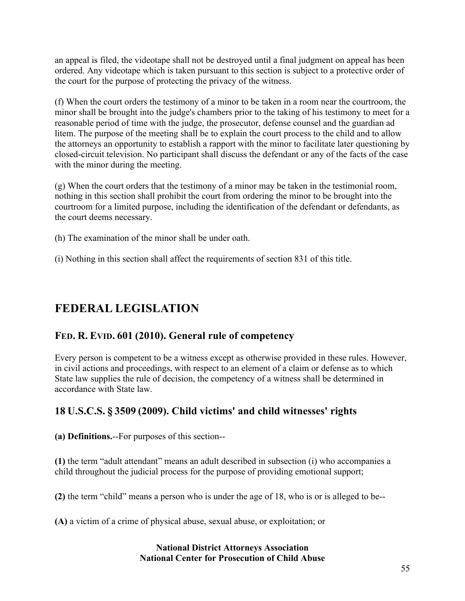an appeal is filed, the videotape shall not be destroyed until a final judgment on appeal has been ordered. Any videotape which is taken pursuant to this section is subject to a protective order of the court for the purpose of protecting the privacy of the witness.

(f) When the court orders the testimony of a minor to be taken in a room near the courtroom, the minor shall be brought into the judge's chambers prior to the taking of his testimony to meet for a reasonable period of time with the judge, the prosecutor, defense counsel and the guardian ad litem. The purpose of the meeting shall be to explain the court process to the child and to allow the attorneys an opportunity to establish a rapport with the minor to facilitate later questioning by closed-circuit television. No participant shall discuss the defendant or any of the facts of the case with the minor during the meeting.

(g) When the court orders that the testimony of a minor may be taken in the testimonial room, nothing in this section shall prohibit the court from ordering the minor to be brought into the courtroom for a limited purpose, including the identification of the defendant or defendants, as the court deems necessary.

(h) The examination of the minor shall be under oath.

(i) Nothing in this section shall affect the requirements of section 831 of this title.

### **FEDERAL LEGISLATION**

#### **FED. R. EVID. 601 (2010). General rule of competency**

Every person is competent to be a witness except as otherwise provided in these rules. However, in civil actions and proceedings, with respect to an element of a claim or defense as to which State law supplies the rule of decision, the competency of a witness shall be determined in accordance with State law.

### **18 U.S.C.S. § 3509 (2009). Child victims' and child witnesses' rights**

**(a) Definitions.**--For purposes of this section--

**(1)** the term "adult attendant" means an adult described in subsection (i) who accompanies a child throughout the judicial process for the purpose of providing emotional support;

**(2)** the term "child" means a person who is under the age of 18, who is or is alleged to be--

**(A)** a victim of a crime of physical abuse, sexual abuse, or exploitation; or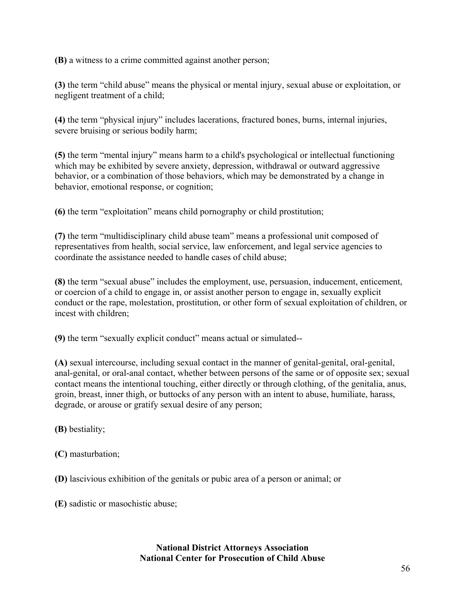**(B)** a witness to a crime committed against another person;

**(3)** the term "child abuse" means the physical or mental injury, sexual abuse or exploitation, or negligent treatment of a child;

**(4)** the term "physical injury" includes lacerations, fractured bones, burns, internal injuries, severe bruising or serious bodily harm;

**(5)** the term "mental injury" means harm to a child's psychological or intellectual functioning which may be exhibited by severe anxiety, depression, withdrawal or outward aggressive behavior, or a combination of those behaviors, which may be demonstrated by a change in behavior, emotional response, or cognition;

**(6)** the term "exploitation" means child pornography or child prostitution;

**(7)** the term "multidisciplinary child abuse team" means a professional unit composed of representatives from health, social service, law enforcement, and legal service agencies to coordinate the assistance needed to handle cases of child abuse;

**(8)** the term "sexual abuse" includes the employment, use, persuasion, inducement, enticement, or coercion of a child to engage in, or assist another person to engage in, sexually explicit conduct or the rape, molestation, prostitution, or other form of sexual exploitation of children, or incest with children;

**(9)** the term "sexually explicit conduct" means actual or simulated--

**(A)** sexual intercourse, including sexual contact in the manner of genital-genital, oral-genital, anal-genital, or oral-anal contact, whether between persons of the same or of opposite sex; sexual contact means the intentional touching, either directly or through clothing, of the genitalia, anus, groin, breast, inner thigh, or buttocks of any person with an intent to abuse, humiliate, harass, degrade, or arouse or gratify sexual desire of any person;

**(B)** bestiality;

**(C)** masturbation;

**(D)** lascivious exhibition of the genitals or pubic area of a person or animal; or

**(E)** sadistic or masochistic abuse;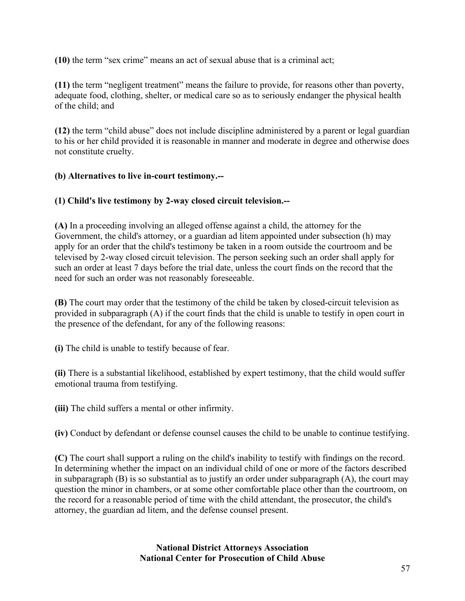**(10)** the term "sex crime" means an act of sexual abuse that is a criminal act;

**(11)** the term "negligent treatment" means the failure to provide, for reasons other than poverty, adequate food, clothing, shelter, or medical care so as to seriously endanger the physical health of the child; and

**(12)** the term "child abuse" does not include discipline administered by a parent or legal guardian to his or her child provided it is reasonable in manner and moderate in degree and otherwise does not constitute cruelty.

#### **(b) Alternatives to live in-court testimony.--**

#### **(1) Child's live testimony by 2-way closed circuit television.--**

**(A)** In a proceeding involving an alleged offense against a child, the attorney for the Government, the child's attorney, or a guardian ad litem appointed under subsection (h) may apply for an order that the child's testimony be taken in a room outside the courtroom and be televised by 2-way closed circuit television. The person seeking such an order shall apply for such an order at least 7 days before the trial date, unless the court finds on the record that the need for such an order was not reasonably foreseeable.

**(B)** The court may order that the testimony of the child be taken by closed-circuit television as provided in subparagraph (A) if the court finds that the child is unable to testify in open court in the presence of the defendant, for any of the following reasons:

**(i)** The child is unable to testify because of fear.

**(ii)** There is a substantial likelihood, established by expert testimony, that the child would suffer emotional trauma from testifying.

**(iii)** The child suffers a mental or other infirmity.

**(iv)** Conduct by defendant or defense counsel causes the child to be unable to continue testifying.

**(C)** The court shall support a ruling on the child's inability to testify with findings on the record. In determining whether the impact on an individual child of one or more of the factors described in subparagraph (B) is so substantial as to justify an order under subparagraph (A), the court may question the minor in chambers, or at some other comfortable place other than the courtroom, on the record for a reasonable period of time with the child attendant, the prosecutor, the child's attorney, the guardian ad litem, and the defense counsel present.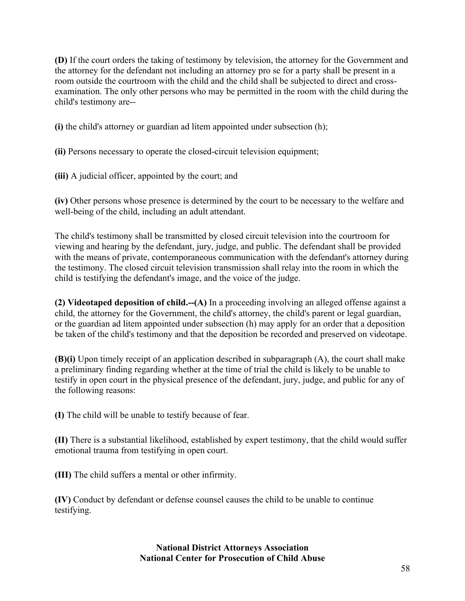**(D)** If the court orders the taking of testimony by television, the attorney for the Government and the attorney for the defendant not including an attorney pro se for a party shall be present in a room outside the courtroom with the child and the child shall be subjected to direct and crossexamination. The only other persons who may be permitted in the room with the child during the child's testimony are--

**(i)** the child's attorney or guardian ad litem appointed under subsection (h);

**(ii)** Persons necessary to operate the closed-circuit television equipment;

**(iii)** A judicial officer, appointed by the court; and

**(iv)** Other persons whose presence is determined by the court to be necessary to the welfare and well-being of the child, including an adult attendant.

The child's testimony shall be transmitted by closed circuit television into the courtroom for viewing and hearing by the defendant, jury, judge, and public. The defendant shall be provided with the means of private, contemporaneous communication with the defendant's attorney during the testimony. The closed circuit television transmission shall relay into the room in which the child is testifying the defendant's image, and the voice of the judge.

**(2) Videotaped deposition of child.--(A)** In a proceeding involving an alleged offense against a child, the attorney for the Government, the child's attorney, the child's parent or legal guardian, or the guardian ad litem appointed under subsection (h) may apply for an order that a deposition be taken of the child's testimony and that the deposition be recorded and preserved on videotape.

**(B)(i)** Upon timely receipt of an application described in subparagraph (A), the court shall make a preliminary finding regarding whether at the time of trial the child is likely to be unable to testify in open court in the physical presence of the defendant, jury, judge, and public for any of the following reasons:

**(I)** The child will be unable to testify because of fear.

**(II)** There is a substantial likelihood, established by expert testimony, that the child would suffer emotional trauma from testifying in open court.

**(III)** The child suffers a mental or other infirmity.

**(IV)** Conduct by defendant or defense counsel causes the child to be unable to continue testifying.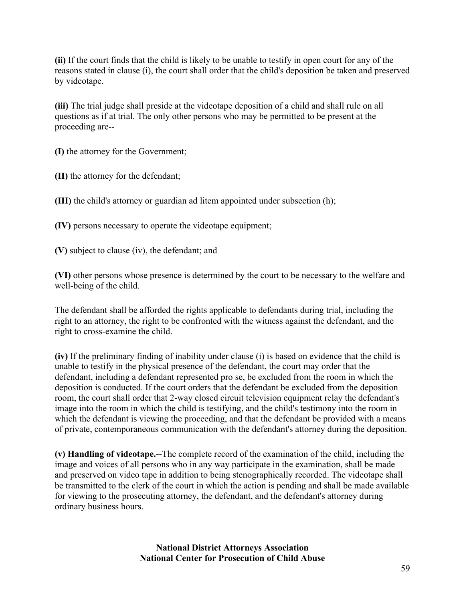**(ii)** If the court finds that the child is likely to be unable to testify in open court for any of the reasons stated in clause (i), the court shall order that the child's deposition be taken and preserved by videotape.

**(iii)** The trial judge shall preside at the videotape deposition of a child and shall rule on all questions as if at trial. The only other persons who may be permitted to be present at the proceeding are--

**(I)** the attorney for the Government;

**(II)** the attorney for the defendant;

**(III)** the child's attorney or guardian ad litem appointed under subsection (h);

**(IV)** persons necessary to operate the videotape equipment;

**(V)** subject to clause (iv), the defendant; and

**(VI)** other persons whose presence is determined by the court to be necessary to the welfare and well-being of the child.

The defendant shall be afforded the rights applicable to defendants during trial, including the right to an attorney, the right to be confronted with the witness against the defendant, and the right to cross-examine the child.

**(iv)** If the preliminary finding of inability under clause (i) is based on evidence that the child is unable to testify in the physical presence of the defendant, the court may order that the defendant, including a defendant represented pro se, be excluded from the room in which the deposition is conducted. If the court orders that the defendant be excluded from the deposition room, the court shall order that 2-way closed circuit television equipment relay the defendant's image into the room in which the child is testifying, and the child's testimony into the room in which the defendant is viewing the proceeding, and that the defendant be provided with a means of private, contemporaneous communication with the defendant's attorney during the deposition.

**(v) Handling of videotape.**--The complete record of the examination of the child, including the image and voices of all persons who in any way participate in the examination, shall be made and preserved on video tape in addition to being stenographically recorded. The videotape shall be transmitted to the clerk of the court in which the action is pending and shall be made available for viewing to the prosecuting attorney, the defendant, and the defendant's attorney during ordinary business hours.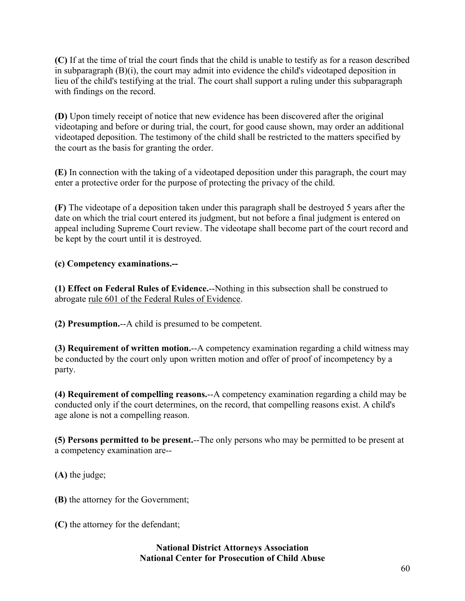**(C)** If at the time of trial the court finds that the child is unable to testify as for a reason described in subparagraph (B)(i), the court may admit into evidence the child's videotaped deposition in lieu of the child's testifying at the trial. The court shall support a ruling under this subparagraph with findings on the record.

**(D)** Upon timely receipt of notice that new evidence has been discovered after the original videotaping and before or during trial, the court, for good cause shown, may order an additional videotaped deposition. The testimony of the child shall be restricted to the matters specified by the court as the basis for granting the order.

**(E)** In connection with the taking of a videotaped deposition under this paragraph, the court may enter a protective order for the purpose of protecting the privacy of the child.

**(F)** The videotape of a deposition taken under this paragraph shall be destroyed 5 years after the date on which the trial court entered its judgment, but not before a final judgment is entered on appeal including Supreme Court review. The videotape shall become part of the court record and be kept by the court until it is destroyed.

#### **(c) Competency examinations.--**

**(1) Effect on Federal Rules of Evidence.**--Nothing in this subsection shall be construed to abrogate rule 601 of the Federal Rules of Evidence.

**(2) Presumption.**--A child is presumed to be competent.

**(3) Requirement of written motion.**--A competency examination regarding a child witness may be conducted by the court only upon written motion and offer of proof of incompetency by a party.

**(4) Requirement of compelling reasons.**--A competency examination regarding a child may be conducted only if the court determines, on the record, that compelling reasons exist. A child's age alone is not a compelling reason.

**(5) Persons permitted to be present.**--The only persons who may be permitted to be present at a competency examination are--

**(A)** the judge;

**(B)** the attorney for the Government;

**(C)** the attorney for the defendant;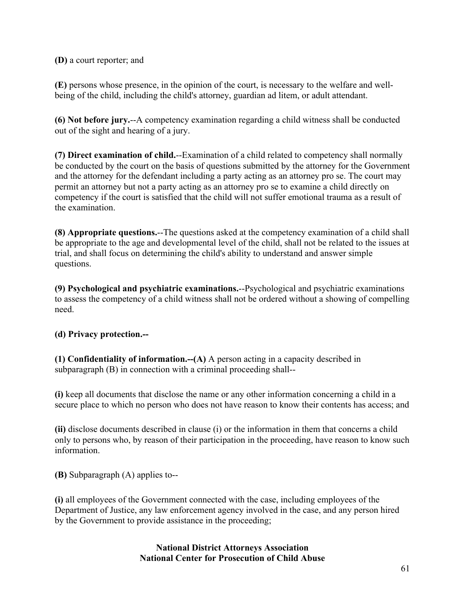**(D)** a court reporter; and

**(E)** persons whose presence, in the opinion of the court, is necessary to the welfare and wellbeing of the child, including the child's attorney, guardian ad litem, or adult attendant.

**(6) Not before jury.**--A competency examination regarding a child witness shall be conducted out of the sight and hearing of a jury.

**(7) Direct examination of child.**--Examination of a child related to competency shall normally be conducted by the court on the basis of questions submitted by the attorney for the Government and the attorney for the defendant including a party acting as an attorney pro se. The court may permit an attorney but not a party acting as an attorney pro se to examine a child directly on competency if the court is satisfied that the child will not suffer emotional trauma as a result of the examination.

**(8) Appropriate questions.**--The questions asked at the competency examination of a child shall be appropriate to the age and developmental level of the child, shall not be related to the issues at trial, and shall focus on determining the child's ability to understand and answer simple questions.

**(9) Psychological and psychiatric examinations.**--Psychological and psychiatric examinations to assess the competency of a child witness shall not be ordered without a showing of compelling need.

#### **(d) Privacy protection.--**

**(1) Confidentiality of information.--(A)** A person acting in a capacity described in subparagraph (B) in connection with a criminal proceeding shall--

**(i)** keep all documents that disclose the name or any other information concerning a child in a secure place to which no person who does not have reason to know their contents has access; and

**(ii)** disclose documents described in clause (i) or the information in them that concerns a child only to persons who, by reason of their participation in the proceeding, have reason to know such information.

**(B)** Subparagraph (A) applies to--

**(i)** all employees of the Government connected with the case, including employees of the Department of Justice, any law enforcement agency involved in the case, and any person hired by the Government to provide assistance in the proceeding;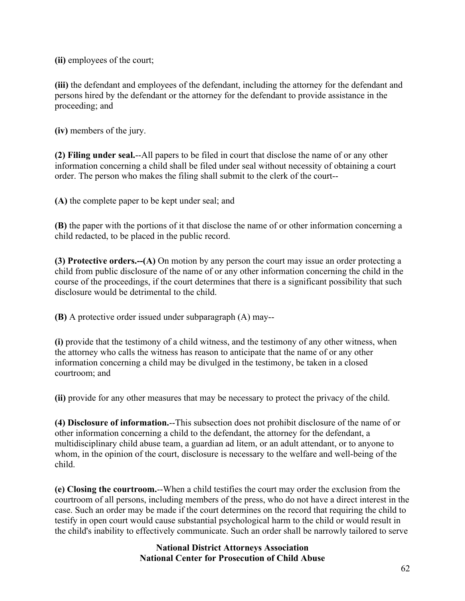**(ii)** employees of the court;

**(iii)** the defendant and employees of the defendant, including the attorney for the defendant and persons hired by the defendant or the attorney for the defendant to provide assistance in the proceeding; and

**(iv)** members of the jury.

**(2) Filing under seal.**--All papers to be filed in court that disclose the name of or any other information concerning a child shall be filed under seal without necessity of obtaining a court order. The person who makes the filing shall submit to the clerk of the court--

**(A)** the complete paper to be kept under seal; and

**(B)** the paper with the portions of it that disclose the name of or other information concerning a child redacted, to be placed in the public record.

**(3) Protective orders.--(A)** On motion by any person the court may issue an order protecting a child from public disclosure of the name of or any other information concerning the child in the course of the proceedings, if the court determines that there is a significant possibility that such disclosure would be detrimental to the child.

**(B)** A protective order issued under subparagraph (A) may--

**(i)** provide that the testimony of a child witness, and the testimony of any other witness, when the attorney who calls the witness has reason to anticipate that the name of or any other information concerning a child may be divulged in the testimony, be taken in a closed courtroom; and

**(ii)** provide for any other measures that may be necessary to protect the privacy of the child.

**(4) Disclosure of information.**--This subsection does not prohibit disclosure of the name of or other information concerning a child to the defendant, the attorney for the defendant, a multidisciplinary child abuse team, a guardian ad litem, or an adult attendant, or to anyone to whom, in the opinion of the court, disclosure is necessary to the welfare and well-being of the child.

**(e) Closing the courtroom.**--When a child testifies the court may order the exclusion from the courtroom of all persons, including members of the press, who do not have a direct interest in the case. Such an order may be made if the court determines on the record that requiring the child to testify in open court would cause substantial psychological harm to the child or would result in the child's inability to effectively communicate. Such an order shall be narrowly tailored to serve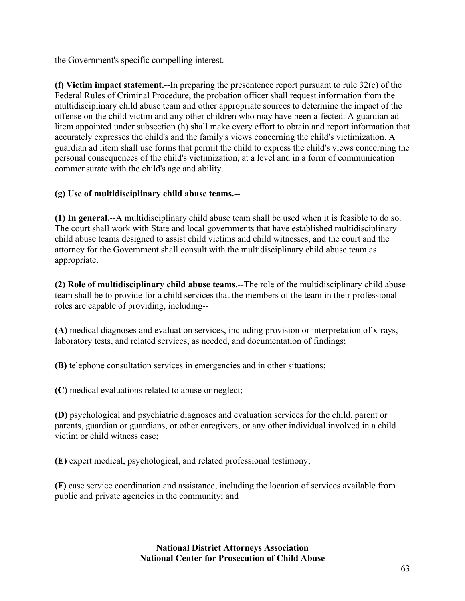the Government's specific compelling interest.

**(f) Victim impact statement.**--In preparing the presentence report pursuant to rule 32(c) of the Federal Rules of Criminal Procedure, the probation officer shall request information from the multidisciplinary child abuse team and other appropriate sources to determine the impact of the offense on the child victim and any other children who may have been affected. A guardian ad litem appointed under subsection (h) shall make every effort to obtain and report information that accurately expresses the child's and the family's views concerning the child's victimization. A guardian ad litem shall use forms that permit the child to express the child's views concerning the personal consequences of the child's victimization, at a level and in a form of communication commensurate with the child's age and ability.

#### **(g) Use of multidisciplinary child abuse teams.--**

**(1) In general.**--A multidisciplinary child abuse team shall be used when it is feasible to do so. The court shall work with State and local governments that have established multidisciplinary child abuse teams designed to assist child victims and child witnesses, and the court and the attorney for the Government shall consult with the multidisciplinary child abuse team as appropriate.

**(2) Role of multidisciplinary child abuse teams.**--The role of the multidisciplinary child abuse team shall be to provide for a child services that the members of the team in their professional roles are capable of providing, including--

**(A)** medical diagnoses and evaluation services, including provision or interpretation of x-rays, laboratory tests, and related services, as needed, and documentation of findings;

**(B)** telephone consultation services in emergencies and in other situations;

**(C)** medical evaluations related to abuse or neglect;

**(D)** psychological and psychiatric diagnoses and evaluation services for the child, parent or parents, guardian or guardians, or other caregivers, or any other individual involved in a child victim or child witness case;

**(E)** expert medical, psychological, and related professional testimony;

**(F)** case service coordination and assistance, including the location of services available from public and private agencies in the community; and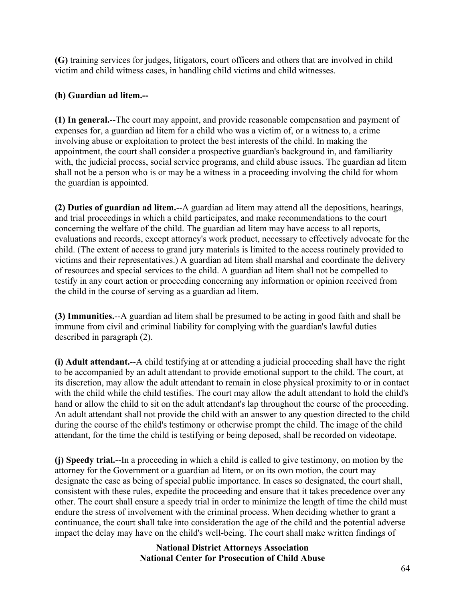**(G)** training services for judges, litigators, court officers and others that are involved in child victim and child witness cases, in handling child victims and child witnesses.

#### **(h) Guardian ad litem.--**

**(1) In general.**--The court may appoint, and provide reasonable compensation and payment of expenses for, a guardian ad litem for a child who was a victim of, or a witness to, a crime involving abuse or exploitation to protect the best interests of the child. In making the appointment, the court shall consider a prospective guardian's background in, and familiarity with, the judicial process, social service programs, and child abuse issues. The guardian ad litem shall not be a person who is or may be a witness in a proceeding involving the child for whom the guardian is appointed.

**(2) Duties of guardian ad litem.**--A guardian ad litem may attend all the depositions, hearings, and trial proceedings in which a child participates, and make recommendations to the court concerning the welfare of the child. The guardian ad litem may have access to all reports, evaluations and records, except attorney's work product, necessary to effectively advocate for the child. (The extent of access to grand jury materials is limited to the access routinely provided to victims and their representatives.) A guardian ad litem shall marshal and coordinate the delivery of resources and special services to the child. A guardian ad litem shall not be compelled to testify in any court action or proceeding concerning any information or opinion received from the child in the course of serving as a guardian ad litem.

**(3) Immunities.**--A guardian ad litem shall be presumed to be acting in good faith and shall be immune from civil and criminal liability for complying with the guardian's lawful duties described in paragraph (2).

**(i) Adult attendant.**--A child testifying at or attending a judicial proceeding shall have the right to be accompanied by an adult attendant to provide emotional support to the child. The court, at its discretion, may allow the adult attendant to remain in close physical proximity to or in contact with the child while the child testifies. The court may allow the adult attendant to hold the child's hand or allow the child to sit on the adult attendant's lap throughout the course of the proceeding. An adult attendant shall not provide the child with an answer to any question directed to the child during the course of the child's testimony or otherwise prompt the child. The image of the child attendant, for the time the child is testifying or being deposed, shall be recorded on videotape.

**(j) Speedy trial.**--In a proceeding in which a child is called to give testimony, on motion by the attorney for the Government or a guardian ad litem, or on its own motion, the court may designate the case as being of special public importance. In cases so designated, the court shall, consistent with these rules, expedite the proceeding and ensure that it takes precedence over any other. The court shall ensure a speedy trial in order to minimize the length of time the child must endure the stress of involvement with the criminal process. When deciding whether to grant a continuance, the court shall take into consideration the age of the child and the potential adverse impact the delay may have on the child's well-being. The court shall make written findings of